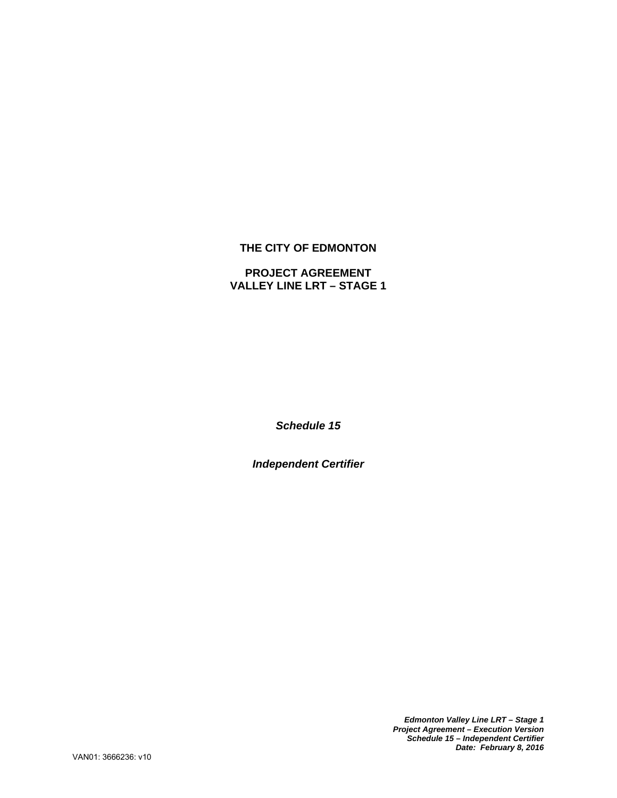# **THE CITY OF EDMONTON**

# **PROJECT AGREEMENT VALLEY LINE LRT – STAGE 1**

*Schedule 15* 

*Independent Certifier* 

*Edmonton Valley Line LRT – Stage 1 Project Agreement – Execution Version Schedule 15 – Independent Certifier Date: February 8, 2016*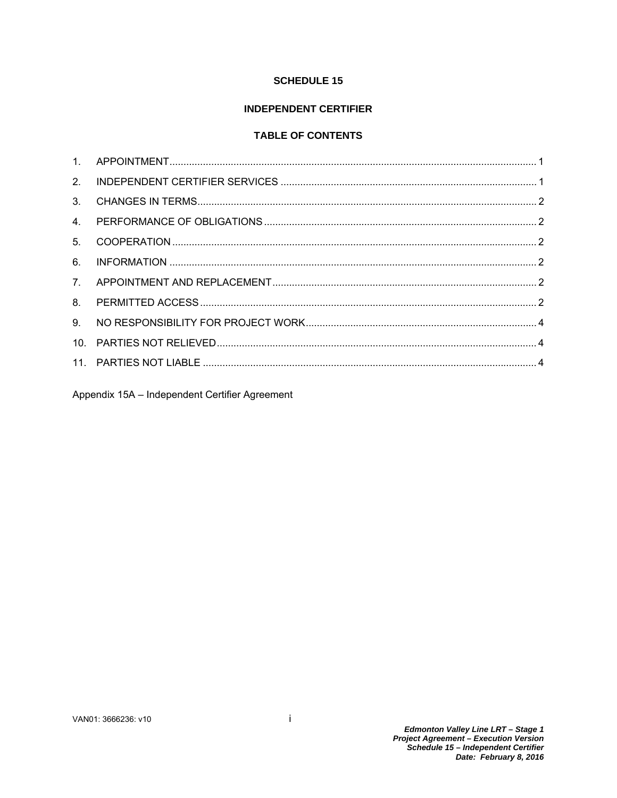# **SCHEDULE 15**

# **INDEPENDENT CERTIFIER**

# **TABLE OF CONTENTS**

| 2.             |  |
|----------------|--|
| $3_{-}$        |  |
| $\overline{4}$ |  |
| 5 <sub>1</sub> |  |
| 6.             |  |
| 7 <sub>1</sub> |  |
| 8.             |  |
| 9.             |  |
|                |  |
|                |  |
|                |  |

Appendix 15A - Independent Certifier Agreement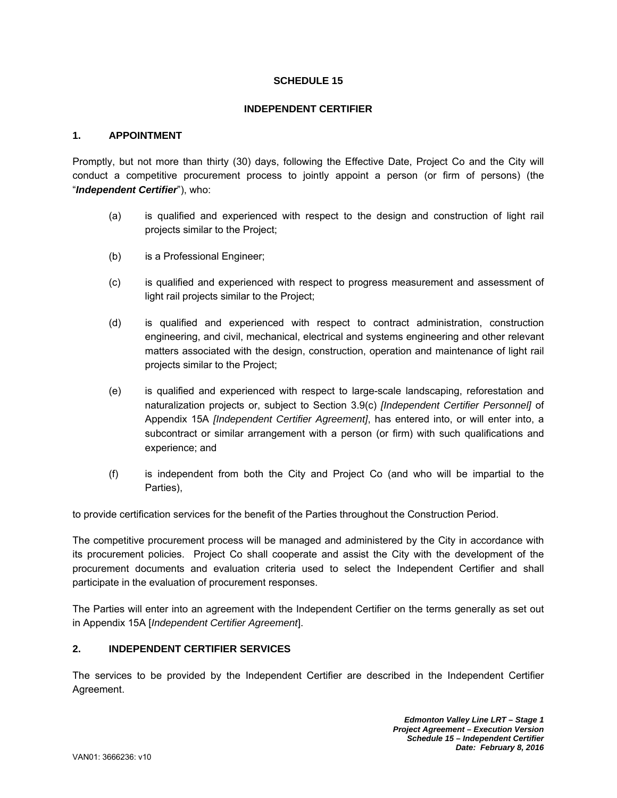# **SCHEDULE 15**

### **INDEPENDENT CERTIFIER**

### **1. APPOINTMENT**

Promptly, but not more than thirty (30) days, following the Effective Date, Project Co and the City will conduct a competitive procurement process to jointly appoint a person (or firm of persons) (the "*Independent Certifier*"), who:

- (a) is qualified and experienced with respect to the design and construction of light rail projects similar to the Project;
- (b) is a Professional Engineer;
- (c) is qualified and experienced with respect to progress measurement and assessment of light rail projects similar to the Project;
- (d) is qualified and experienced with respect to contract administration, construction engineering, and civil, mechanical, electrical and systems engineering and other relevant matters associated with the design, construction, operation and maintenance of light rail projects similar to the Project;
- (e) is qualified and experienced with respect to large-scale landscaping, reforestation and naturalization projects or, subject to Section 3.9(c) *[Independent Certifier Personnel]* of Appendix 15A *[Independent Certifier Agreement]*, has entered into, or will enter into, a subcontract or similar arrangement with a person (or firm) with such qualifications and experience; and
- (f) is independent from both the City and Project Co (and who will be impartial to the Parties),

to provide certification services for the benefit of the Parties throughout the Construction Period.

The competitive procurement process will be managed and administered by the City in accordance with its procurement policies. Project Co shall cooperate and assist the City with the development of the procurement documents and evaluation criteria used to select the Independent Certifier and shall participate in the evaluation of procurement responses.

The Parties will enter into an agreement with the Independent Certifier on the terms generally as set out in Appendix 15A [*Independent Certifier Agreement*].

## **2. INDEPENDENT CERTIFIER SERVICES**

The services to be provided by the Independent Certifier are described in the Independent Certifier Agreement.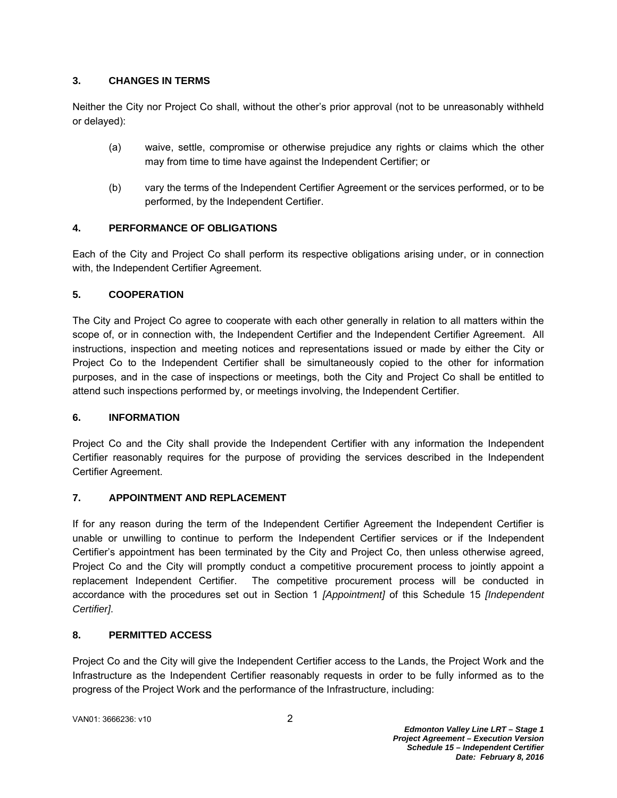# **3. CHANGES IN TERMS**

Neither the City nor Project Co shall, without the other's prior approval (not to be unreasonably withheld or delayed):

- (a) waive, settle, compromise or otherwise prejudice any rights or claims which the other may from time to time have against the Independent Certifier; or
- (b) vary the terms of the Independent Certifier Agreement or the services performed, or to be performed, by the Independent Certifier.

# **4. PERFORMANCE OF OBLIGATIONS**

Each of the City and Project Co shall perform its respective obligations arising under, or in connection with, the Independent Certifier Agreement.

# **5. COOPERATION**

The City and Project Co agree to cooperate with each other generally in relation to all matters within the scope of, or in connection with, the Independent Certifier and the Independent Certifier Agreement. All instructions, inspection and meeting notices and representations issued or made by either the City or Project Co to the Independent Certifier shall be simultaneously copied to the other for information purposes, and in the case of inspections or meetings, both the City and Project Co shall be entitled to attend such inspections performed by, or meetings involving, the Independent Certifier.

## **6. INFORMATION**

Project Co and the City shall provide the Independent Certifier with any information the Independent Certifier reasonably requires for the purpose of providing the services described in the Independent Certifier Agreement.

# **7. APPOINTMENT AND REPLACEMENT**

If for any reason during the term of the Independent Certifier Agreement the Independent Certifier is unable or unwilling to continue to perform the Independent Certifier services or if the Independent Certifier's appointment has been terminated by the City and Project Co, then unless otherwise agreed, Project Co and the City will promptly conduct a competitive procurement process to jointly appoint a replacement Independent Certifier. The competitive procurement process will be conducted in accordance with the procedures set out in Section 1 *[Appointment]* of this Schedule 15 *[Independent Certifier]*.

## **8. PERMITTED ACCESS**

Project Co and the City will give the Independent Certifier access to the Lands, the Project Work and the Infrastructure as the Independent Certifier reasonably requests in order to be fully informed as to the progress of the Project Work and the performance of the Infrastructure, including:

VAN01: 3666236: v10 2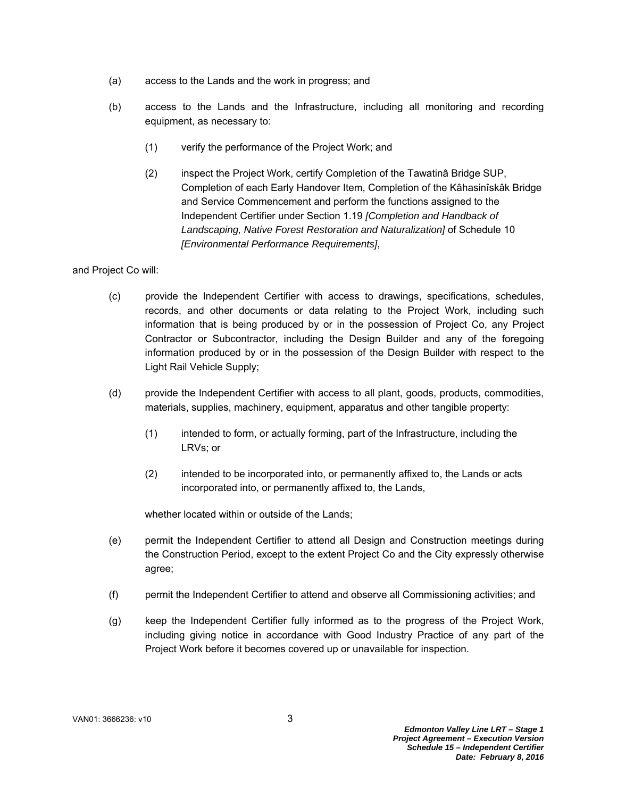- (a) access to the Lands and the work in progress; and
- (b) access to the Lands and the Infrastructure, including all monitoring and recording equipment, as necessary to:
	- (1) verify the performance of the Project Work; and
	- (2) inspect the Project Work, certify Completion of the Tawatinâ Bridge SUP, Completion of each Early Handover Item, Completion of the Kâhasinîskâk Bridge and Service Commencement and perform the functions assigned to the Independent Certifier under Section 1.19 *[Completion and Handback of Landscaping, Native Forest Restoration and Naturalization]* of Schedule 10 *[Environmental Performance Requirements]*,

and Project Co will:

- (c) provide the Independent Certifier with access to drawings, specifications, schedules, records, and other documents or data relating to the Project Work, including such information that is being produced by or in the possession of Project Co, any Project Contractor or Subcontractor, including the Design Builder and any of the foregoing information produced by or in the possession of the Design Builder with respect to the Light Rail Vehicle Supply;
- (d) provide the Independent Certifier with access to all plant, goods, products, commodities, materials, supplies, machinery, equipment, apparatus and other tangible property:
	- (1) intended to form, or actually forming, part of the Infrastructure, including the LRVs; or
	- (2) intended to be incorporated into, or permanently affixed to, the Lands or acts incorporated into, or permanently affixed to, the Lands,

whether located within or outside of the Lands;

- (e) permit the Independent Certifier to attend all Design and Construction meetings during the Construction Period, except to the extent Project Co and the City expressly otherwise agree;
- (f) permit the Independent Certifier to attend and observe all Commissioning activities; and
- (g) keep the Independent Certifier fully informed as to the progress of the Project Work, including giving notice in accordance with Good Industry Practice of any part of the Project Work before it becomes covered up or unavailable for inspection.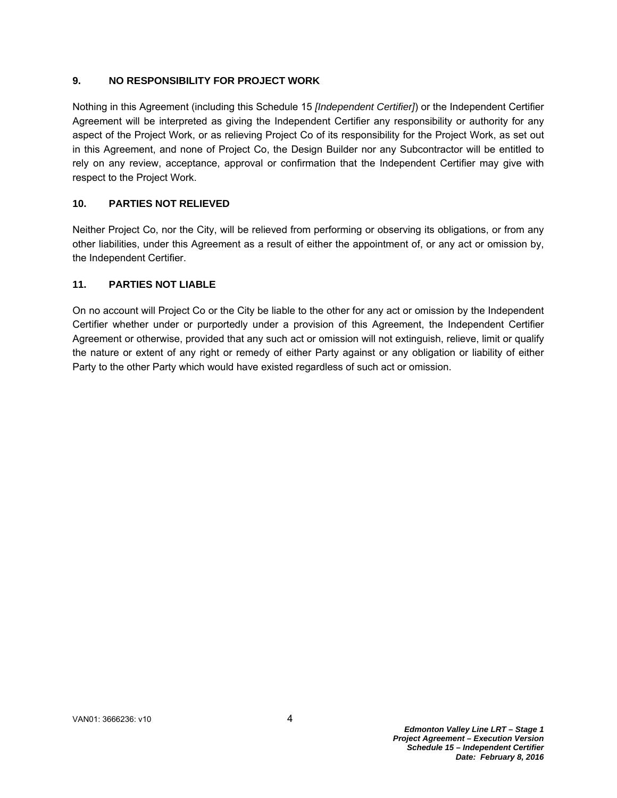# **9. NO RESPONSIBILITY FOR PROJECT WORK**

Nothing in this Agreement (including this Schedule 15 *[Independent Certifier]*) or the Independent Certifier Agreement will be interpreted as giving the Independent Certifier any responsibility or authority for any aspect of the Project Work, or as relieving Project Co of its responsibility for the Project Work, as set out in this Agreement, and none of Project Co, the Design Builder nor any Subcontractor will be entitled to rely on any review, acceptance, approval or confirmation that the Independent Certifier may give with respect to the Project Work.

# **10. PARTIES NOT RELIEVED**

Neither Project Co, nor the City, will be relieved from performing or observing its obligations, or from any other liabilities, under this Agreement as a result of either the appointment of, or any act or omission by, the Independent Certifier.

# **11. PARTIES NOT LIABLE**

On no account will Project Co or the City be liable to the other for any act or omission by the Independent Certifier whether under or purportedly under a provision of this Agreement, the Independent Certifier Agreement or otherwise, provided that any such act or omission will not extinguish, relieve, limit or qualify the nature or extent of any right or remedy of either Party against or any obligation or liability of either Party to the other Party which would have existed regardless of such act or omission.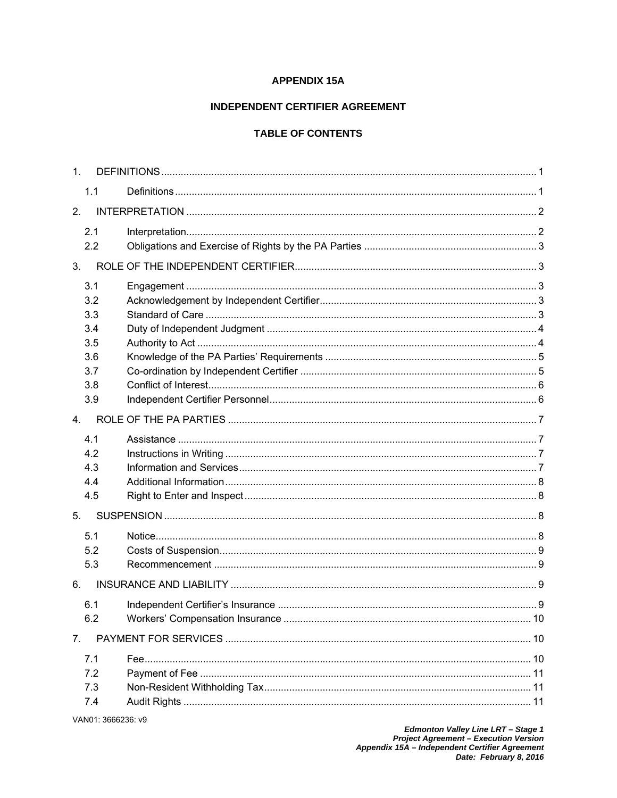# **APPENDIX 15A**

# **INDEPENDENT CERTIFIER AGREEMENT**

# **TABLE OF CONTENTS**

| 1 <sub>1</sub> |     |  |
|----------------|-----|--|
|                | 1.1 |  |
| 2.             |     |  |
|                | 2.1 |  |
|                | 2.2 |  |
| 3.             |     |  |
|                | 3.1 |  |
|                | 3.2 |  |
|                | 3.3 |  |
|                | 3.4 |  |
|                | 3.5 |  |
|                | 3.6 |  |
|                | 3.7 |  |
|                | 3.8 |  |
|                | 3.9 |  |
| $\overline{4}$ |     |  |
|                | 4.1 |  |
|                | 4.2 |  |
|                | 4.3 |  |
|                | 4.4 |  |
|                | 4.5 |  |
| 5.             |     |  |
|                | 5.1 |  |
|                | 5.2 |  |
|                | 5.3 |  |
| 6.             |     |  |
|                | 6.1 |  |
|                | 6.2 |  |
| 7.             |     |  |
|                | 7.1 |  |
|                | 7.2 |  |
|                | 7.3 |  |
|                | 7.4 |  |
|                |     |  |

VAN01: 3666236: v9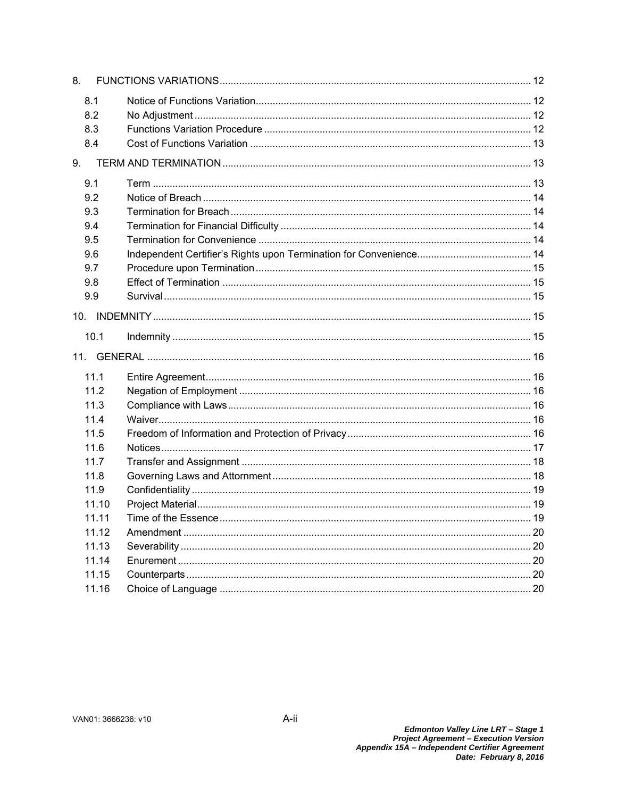| 8.    |  |  |  |  |  |  |
|-------|--|--|--|--|--|--|
| 8.1   |  |  |  |  |  |  |
| 8.2   |  |  |  |  |  |  |
| 8.3   |  |  |  |  |  |  |
| 8.4   |  |  |  |  |  |  |
| 9.    |  |  |  |  |  |  |
| 9.1   |  |  |  |  |  |  |
| 9.2   |  |  |  |  |  |  |
| 9.3   |  |  |  |  |  |  |
| 9.4   |  |  |  |  |  |  |
| 9.5   |  |  |  |  |  |  |
| 9.6   |  |  |  |  |  |  |
| 9.7   |  |  |  |  |  |  |
| 9.8   |  |  |  |  |  |  |
| 9.9   |  |  |  |  |  |  |
|       |  |  |  |  |  |  |
| 10.1  |  |  |  |  |  |  |
| 11.   |  |  |  |  |  |  |
| 11.1  |  |  |  |  |  |  |
| 11.2  |  |  |  |  |  |  |
| 11.3  |  |  |  |  |  |  |
| 11.4  |  |  |  |  |  |  |
| 11.5  |  |  |  |  |  |  |
| 11.6  |  |  |  |  |  |  |
| 11.7  |  |  |  |  |  |  |
| 11.8  |  |  |  |  |  |  |
| 11.9  |  |  |  |  |  |  |
| 11.10 |  |  |  |  |  |  |
| 11.11 |  |  |  |  |  |  |
| 11.12 |  |  |  |  |  |  |
| 11.13 |  |  |  |  |  |  |
| 11.14 |  |  |  |  |  |  |
| 11.15 |  |  |  |  |  |  |
| 11.16 |  |  |  |  |  |  |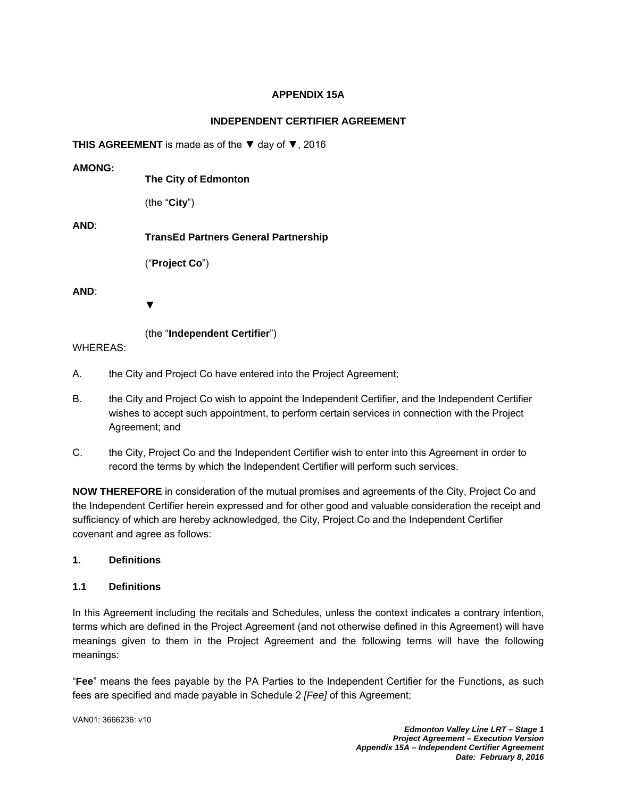# **APPENDIX 15A**

# **INDEPENDENT CERTIFIER AGREEMENT**

**THIS AGREEMENT** is made as of the ▼ day of ▼, 2016

**AMONG: The City of Edmonton**  (the "**City**") **AND**: **TransEd Partners General Partnership**  ("**Project Co**") **AND**:

▼

(the "**Independent Certifier**")

WHEREAS:

- A. the City and Project Co have entered into the Project Agreement;
- B. the City and Project Co wish to appoint the Independent Certifier, and the Independent Certifier wishes to accept such appointment, to perform certain services in connection with the Project Agreement; and
- C. the City, Project Co and the Independent Certifier wish to enter into this Agreement in order to record the terms by which the Independent Certifier will perform such services.

**NOW THEREFORE** in consideration of the mutual promises and agreements of the City, Project Co and the Independent Certifier herein expressed and for other good and valuable consideration the receipt and sufficiency of which are hereby acknowledged, the City, Project Co and the Independent Certifier covenant and agree as follows:

# **1. Definitions**

## **1.1 Definitions**

In this Agreement including the recitals and Schedules, unless the context indicates a contrary intention, terms which are defined in the Project Agreement (and not otherwise defined in this Agreement) will have meanings given to them in the Project Agreement and the following terms will have the following meanings:

"**Fee**" means the fees payable by the PA Parties to the Independent Certifier for the Functions, as such fees are specified and made payable in Schedule 2 *[Fee]* of this Agreement;

VAN01: 3666236: v10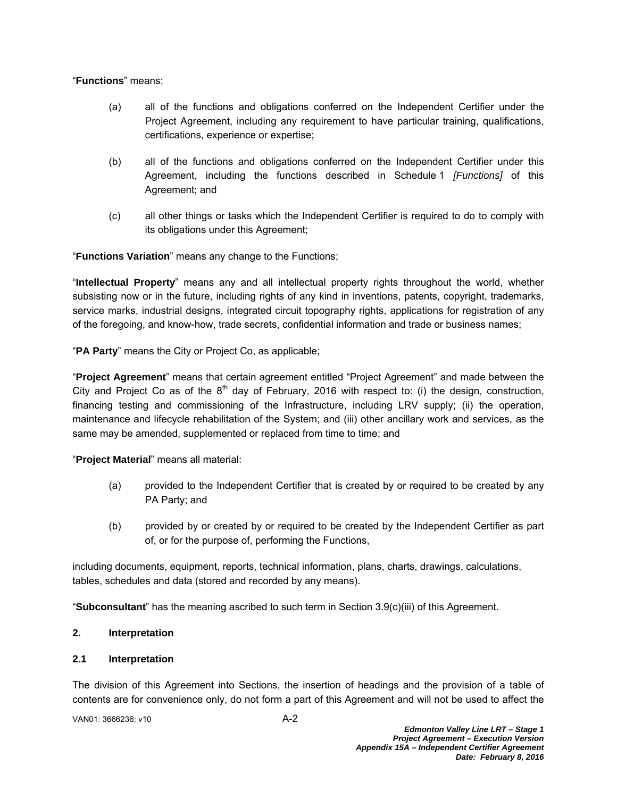"**Functions**" means:

- (a) all of the functions and obligations conferred on the Independent Certifier under the Project Agreement, including any requirement to have particular training, qualifications, certifications, experience or expertise;
- (b) all of the functions and obligations conferred on the Independent Certifier under this Agreement, including the functions described in Schedule 1 *[Functions]* of this Agreement; and
- (c) all other things or tasks which the Independent Certifier is required to do to comply with its obligations under this Agreement;

"**Functions Variation**" means any change to the Functions;

"**Intellectual Property**" means any and all intellectual property rights throughout the world, whether subsisting now or in the future, including rights of any kind in inventions, patents, copyright, trademarks, service marks, industrial designs, integrated circuit topography rights, applications for registration of any of the foregoing, and know-how, trade secrets, confidential information and trade or business names;

"**PA Party**" means the City or Project Co, as applicable;

"**Project Agreement**" means that certain agreement entitled "Project Agreement" and made between the City and Project Co as of the  $8<sup>th</sup>$  day of February, 2016 with respect to: (i) the design, construction, financing testing and commissioning of the Infrastructure, including LRV supply; (ii) the operation, maintenance and lifecycle rehabilitation of the System; and (iii) other ancillary work and services, as the same may be amended, supplemented or replaced from time to time; and

"**Project Material**" means all material:

- (a) provided to the Independent Certifier that is created by or required to be created by any PA Party; and
- (b) provided by or created by or required to be created by the Independent Certifier as part of, or for the purpose of, performing the Functions,

including documents, equipment, reports, technical information, plans, charts, drawings, calculations, tables, schedules and data (stored and recorded by any means).

"**Subconsultant**" has the meaning ascribed to such term in Section 3.9(c)(iii) of this Agreement.

# **2. Interpretation**

# **2.1 Interpretation**

The division of this Agreement into Sections, the insertion of headings and the provision of a table of contents are for convenience only, do not form a part of this Agreement and will not be used to affect the

VAN01: 3666236: v10 A-2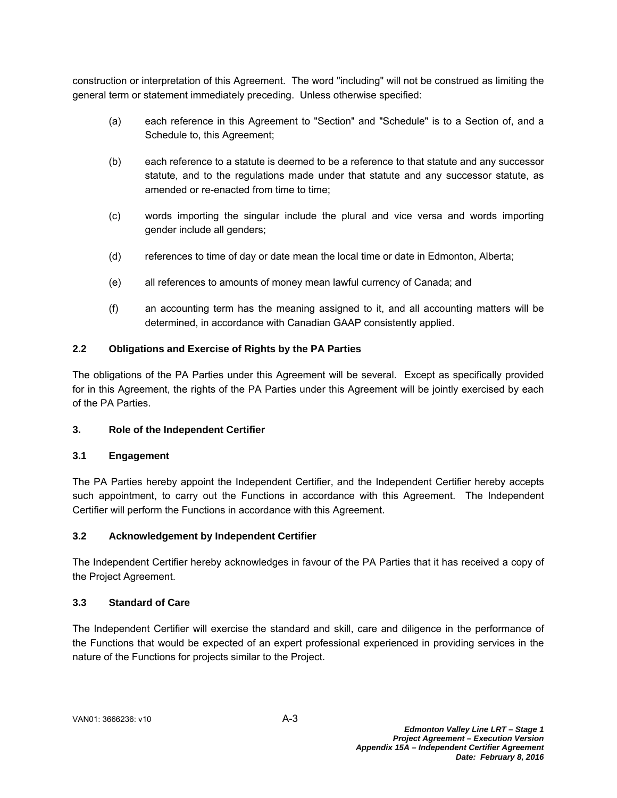construction or interpretation of this Agreement. The word "including" will not be construed as limiting the general term or statement immediately preceding. Unless otherwise specified:

- (a) each reference in this Agreement to "Section" and "Schedule" is to a Section of, and a Schedule to, this Agreement;
- (b) each reference to a statute is deemed to be a reference to that statute and any successor statute, and to the regulations made under that statute and any successor statute, as amended or re-enacted from time to time;
- (c) words importing the singular include the plural and vice versa and words importing gender include all genders;
- (d) references to time of day or date mean the local time or date in Edmonton, Alberta;
- (e) all references to amounts of money mean lawful currency of Canada; and
- (f) an accounting term has the meaning assigned to it, and all accounting matters will be determined, in accordance with Canadian GAAP consistently applied.

# **2.2 Obligations and Exercise of Rights by the PA Parties**

The obligations of the PA Parties under this Agreement will be several. Except as specifically provided for in this Agreement, the rights of the PA Parties under this Agreement will be jointly exercised by each of the PA Parties.

## **3. Role of the Independent Certifier**

## **3.1 Engagement**

The PA Parties hereby appoint the Independent Certifier, and the Independent Certifier hereby accepts such appointment, to carry out the Functions in accordance with this Agreement. The Independent Certifier will perform the Functions in accordance with this Agreement.

## **3.2 Acknowledgement by Independent Certifier**

The Independent Certifier hereby acknowledges in favour of the PA Parties that it has received a copy of the Project Agreement.

# **3.3 Standard of Care**

The Independent Certifier will exercise the standard and skill, care and diligence in the performance of the Functions that would be expected of an expert professional experienced in providing services in the nature of the Functions for projects similar to the Project.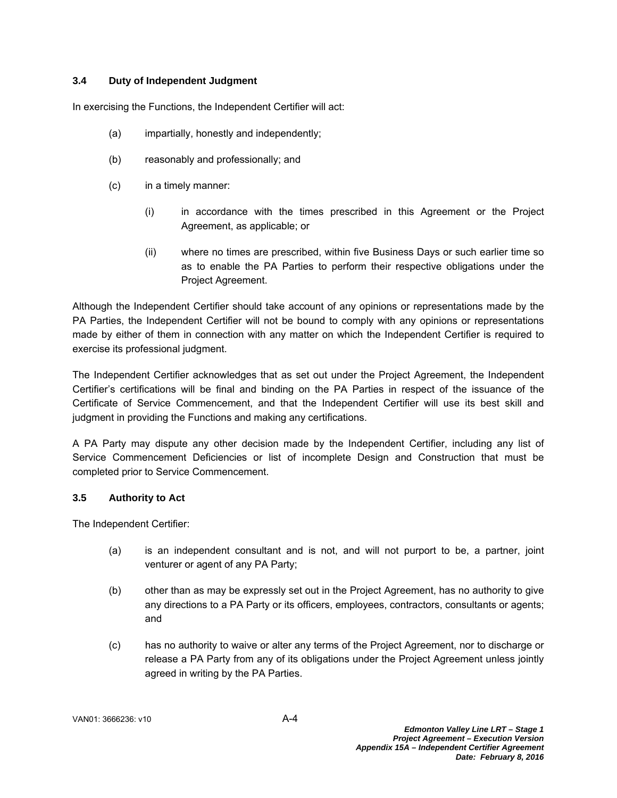# **3.4 Duty of Independent Judgment**

In exercising the Functions, the Independent Certifier will act:

- (a) impartially, honestly and independently;
- (b) reasonably and professionally; and
- (c) in a timely manner:
	- (i) in accordance with the times prescribed in this Agreement or the Project Agreement, as applicable; or
	- (ii) where no times are prescribed, within five Business Days or such earlier time so as to enable the PA Parties to perform their respective obligations under the Project Agreement.

Although the Independent Certifier should take account of any opinions or representations made by the PA Parties, the Independent Certifier will not be bound to comply with any opinions or representations made by either of them in connection with any matter on which the Independent Certifier is required to exercise its professional judgment.

The Independent Certifier acknowledges that as set out under the Project Agreement, the Independent Certifier's certifications will be final and binding on the PA Parties in respect of the issuance of the Certificate of Service Commencement, and that the Independent Certifier will use its best skill and judgment in providing the Functions and making any certifications.

A PA Party may dispute any other decision made by the Independent Certifier, including any list of Service Commencement Deficiencies or list of incomplete Design and Construction that must be completed prior to Service Commencement.

## **3.5 Authority to Act**

The Independent Certifier:

- (a) is an independent consultant and is not, and will not purport to be, a partner, joint venturer or agent of any PA Party;
- (b) other than as may be expressly set out in the Project Agreement, has no authority to give any directions to a PA Party or its officers, employees, contractors, consultants or agents; and
- (c) has no authority to waive or alter any terms of the Project Agreement, nor to discharge or release a PA Party from any of its obligations under the Project Agreement unless jointly agreed in writing by the PA Parties.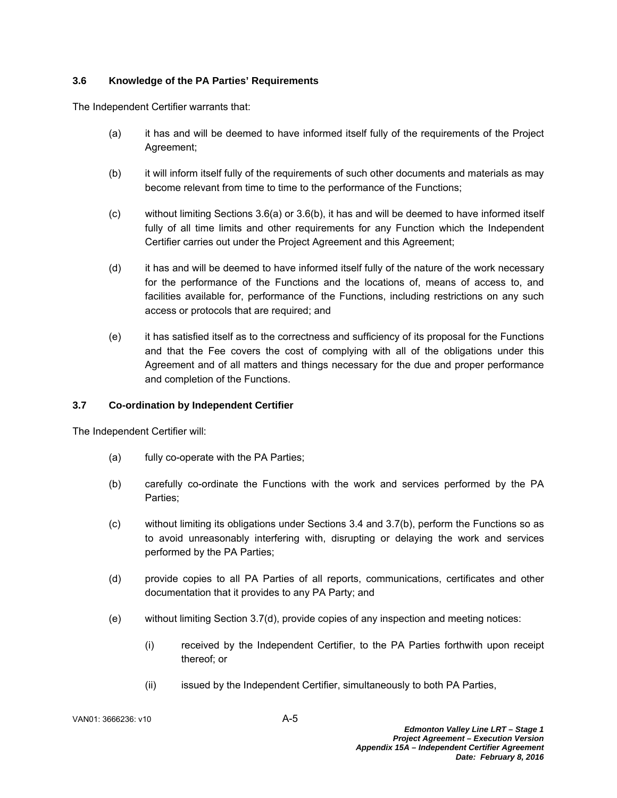# **3.6 Knowledge of the PA Parties' Requirements**

The Independent Certifier warrants that:

- (a) it has and will be deemed to have informed itself fully of the requirements of the Project Agreement;
- (b) it will inform itself fully of the requirements of such other documents and materials as may become relevant from time to time to the performance of the Functions;
- (c) without limiting Sections 3.6(a) or 3.6(b), it has and will be deemed to have informed itself fully of all time limits and other requirements for any Function which the Independent Certifier carries out under the Project Agreement and this Agreement;
- (d) it has and will be deemed to have informed itself fully of the nature of the work necessary for the performance of the Functions and the locations of, means of access to, and facilities available for, performance of the Functions, including restrictions on any such access or protocols that are required; and
- (e) it has satisfied itself as to the correctness and sufficiency of its proposal for the Functions and that the Fee covers the cost of complying with all of the obligations under this Agreement and of all matters and things necessary for the due and proper performance and completion of the Functions.

# **3.7 Co-ordination by Independent Certifier**

The Independent Certifier will:

- (a) fully co-operate with the PA Parties;
- (b) carefully co-ordinate the Functions with the work and services performed by the PA Parties;
- (c) without limiting its obligations under Sections 3.4 and 3.7(b), perform the Functions so as to avoid unreasonably interfering with, disrupting or delaying the work and services performed by the PA Parties;
- (d) provide copies to all PA Parties of all reports, communications, certificates and other documentation that it provides to any PA Party; and
- (e) without limiting Section 3.7(d), provide copies of any inspection and meeting notices:
	- (i) received by the Independent Certifier, to the PA Parties forthwith upon receipt thereof; or
	- (ii) issued by the Independent Certifier, simultaneously to both PA Parties,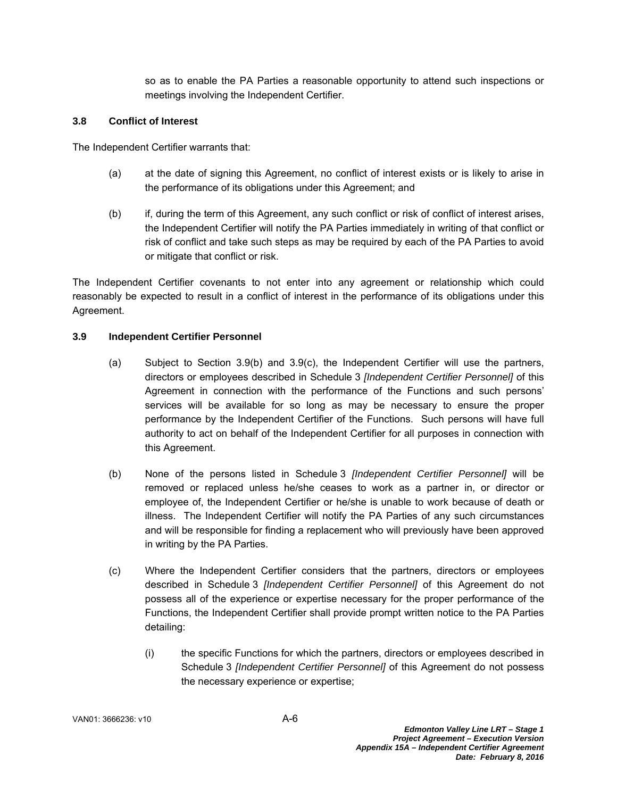so as to enable the PA Parties a reasonable opportunity to attend such inspections or meetings involving the Independent Certifier.

### **3.8 Conflict of Interest**

The Independent Certifier warrants that:

- (a) at the date of signing this Agreement, no conflict of interest exists or is likely to arise in the performance of its obligations under this Agreement; and
- (b) if, during the term of this Agreement, any such conflict or risk of conflict of interest arises, the Independent Certifier will notify the PA Parties immediately in writing of that conflict or risk of conflict and take such steps as may be required by each of the PA Parties to avoid or mitigate that conflict or risk.

The Independent Certifier covenants to not enter into any agreement or relationship which could reasonably be expected to result in a conflict of interest in the performance of its obligations under this Agreement.

### **3.9 Independent Certifier Personnel**

- (a) Subject to Section 3.9(b) and 3.9(c), the Independent Certifier will use the partners, directors or employees described in Schedule 3 *[Independent Certifier Personnel]* of this Agreement in connection with the performance of the Functions and such persons' services will be available for so long as may be necessary to ensure the proper performance by the Independent Certifier of the Functions. Such persons will have full authority to act on behalf of the Independent Certifier for all purposes in connection with this Agreement.
- (b) None of the persons listed in Schedule 3 *[Independent Certifier Personnel]* will be removed or replaced unless he/she ceases to work as a partner in, or director or employee of, the Independent Certifier or he/she is unable to work because of death or illness. The Independent Certifier will notify the PA Parties of any such circumstances and will be responsible for finding a replacement who will previously have been approved in writing by the PA Parties.
- (c) Where the Independent Certifier considers that the partners, directors or employees described in Schedule 3 *[Independent Certifier Personnel]* of this Agreement do not possess all of the experience or expertise necessary for the proper performance of the Functions, the Independent Certifier shall provide prompt written notice to the PA Parties detailing:
	- (i) the specific Functions for which the partners, directors or employees described in Schedule 3 *[Independent Certifier Personnel]* of this Agreement do not possess the necessary experience or expertise;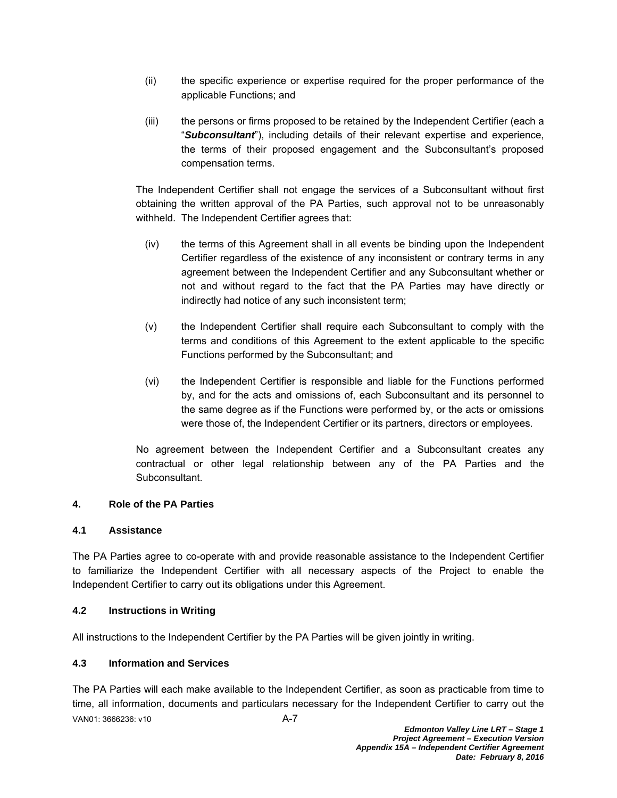- (ii) the specific experience or expertise required for the proper performance of the applicable Functions; and
- (iii) the persons or firms proposed to be retained by the Independent Certifier (each a "*Subconsultant*"), including details of their relevant expertise and experience, the terms of their proposed engagement and the Subconsultant's proposed compensation terms.

The Independent Certifier shall not engage the services of a Subconsultant without first obtaining the written approval of the PA Parties, such approval not to be unreasonably withheld. The Independent Certifier agrees that:

- (iv) the terms of this Agreement shall in all events be binding upon the Independent Certifier regardless of the existence of any inconsistent or contrary terms in any agreement between the Independent Certifier and any Subconsultant whether or not and without regard to the fact that the PA Parties may have directly or indirectly had notice of any such inconsistent term;
- (v) the Independent Certifier shall require each Subconsultant to comply with the terms and conditions of this Agreement to the extent applicable to the specific Functions performed by the Subconsultant; and
- (vi) the Independent Certifier is responsible and liable for the Functions performed by, and for the acts and omissions of, each Subconsultant and its personnel to the same degree as if the Functions were performed by, or the acts or omissions were those of, the Independent Certifier or its partners, directors or employees.

No agreement between the Independent Certifier and a Subconsultant creates any contractual or other legal relationship between any of the PA Parties and the Subconsultant.

# **4. Role of the PA Parties**

## **4.1 Assistance**

The PA Parties agree to co-operate with and provide reasonable assistance to the Independent Certifier to familiarize the Independent Certifier with all necessary aspects of the Project to enable the Independent Certifier to carry out its obligations under this Agreement.

# **4.2 Instructions in Writing**

All instructions to the Independent Certifier by the PA Parties will be given jointly in writing.

## **4.3 Information and Services**

VAN01: 3666236: v10 A-7 The PA Parties will each make available to the Independent Certifier, as soon as practicable from time to time, all information, documents and particulars necessary for the Independent Certifier to carry out the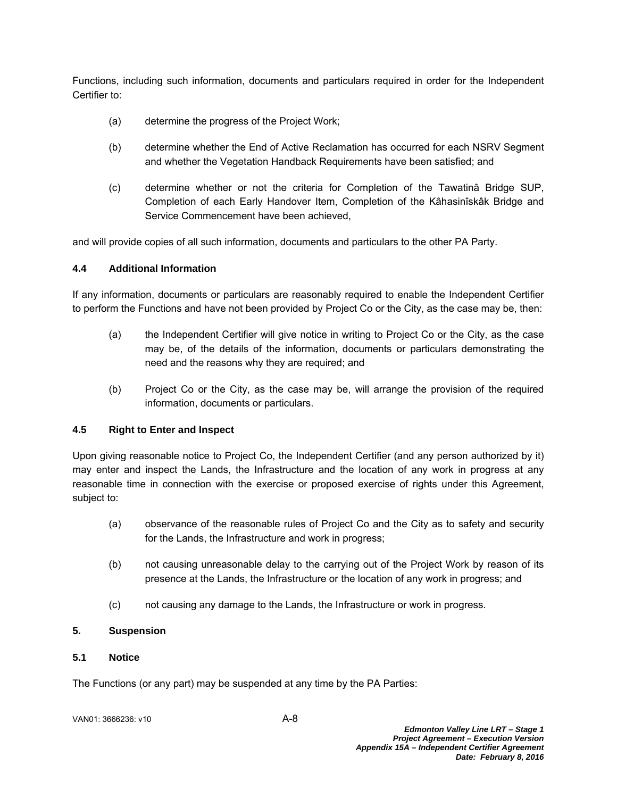Functions, including such information, documents and particulars required in order for the Independent Certifier to:

- (a) determine the progress of the Project Work;
- (b) determine whether the End of Active Reclamation has occurred for each NSRV Segment and whether the Vegetation Handback Requirements have been satisfied; and
- (c) determine whether or not the criteria for Completion of the Tawatinâ Bridge SUP, Completion of each Early Handover Item, Completion of the Kâhasinîskâk Bridge and Service Commencement have been achieved,

and will provide copies of all such information, documents and particulars to the other PA Party.

## **4.4 Additional Information**

If any information, documents or particulars are reasonably required to enable the Independent Certifier to perform the Functions and have not been provided by Project Co or the City, as the case may be, then:

- (a) the Independent Certifier will give notice in writing to Project Co or the City, as the case may be, of the details of the information, documents or particulars demonstrating the need and the reasons why they are required; and
- (b) Project Co or the City, as the case may be, will arrange the provision of the required information, documents or particulars.

## **4.5 Right to Enter and Inspect**

Upon giving reasonable notice to Project Co, the Independent Certifier (and any person authorized by it) may enter and inspect the Lands, the Infrastructure and the location of any work in progress at any reasonable time in connection with the exercise or proposed exercise of rights under this Agreement, subject to:

- (a) observance of the reasonable rules of Project Co and the City as to safety and security for the Lands, the Infrastructure and work in progress;
- (b) not causing unreasonable delay to the carrying out of the Project Work by reason of its presence at the Lands, the Infrastructure or the location of any work in progress; and
- (c) not causing any damage to the Lands, the Infrastructure or work in progress.

## **5. Suspension**

## **5.1 Notice**

The Functions (or any part) may be suspended at any time by the PA Parties: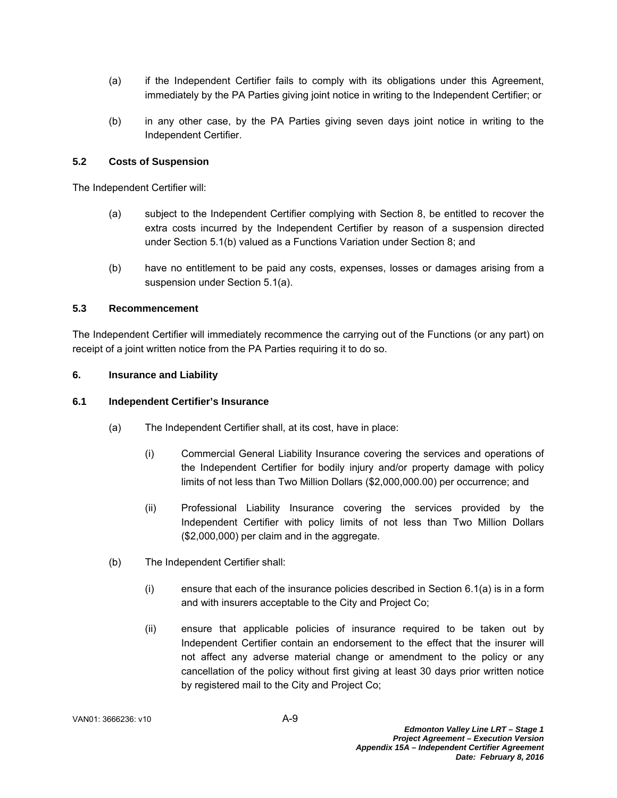- (a) if the Independent Certifier fails to comply with its obligations under this Agreement, immediately by the PA Parties giving joint notice in writing to the Independent Certifier; or
- (b) in any other case, by the PA Parties giving seven days joint notice in writing to the Independent Certifier.

### **5.2 Costs of Suspension**

The Independent Certifier will:

- (a) subject to the Independent Certifier complying with Section 8, be entitled to recover the extra costs incurred by the Independent Certifier by reason of a suspension directed under Section 5.1(b) valued as a Functions Variation under Section 8; and
- (b) have no entitlement to be paid any costs, expenses, losses or damages arising from a suspension under Section 5.1(a).

### **5.3 Recommencement**

The Independent Certifier will immediately recommence the carrying out of the Functions (or any part) on receipt of a joint written notice from the PA Parties requiring it to do so.

#### **6. Insurance and Liability**

#### **6.1 Independent Certifier's Insurance**

- (a) The Independent Certifier shall, at its cost, have in place:
	- (i) Commercial General Liability Insurance covering the services and operations of the Independent Certifier for bodily injury and/or property damage with policy limits of not less than Two Million Dollars (\$2,000,000.00) per occurrence; and
	- (ii) Professional Liability Insurance covering the services provided by the Independent Certifier with policy limits of not less than Two Million Dollars (\$2,000,000) per claim and in the aggregate.
- (b) The Independent Certifier shall:
	- (i) ensure that each of the insurance policies described in Section 6.1(a) is in a form and with insurers acceptable to the City and Project Co;
	- (ii) ensure that applicable policies of insurance required to be taken out by Independent Certifier contain an endorsement to the effect that the insurer will not affect any adverse material change or amendment to the policy or any cancellation of the policy without first giving at least 30 days prior written notice by registered mail to the City and Project Co;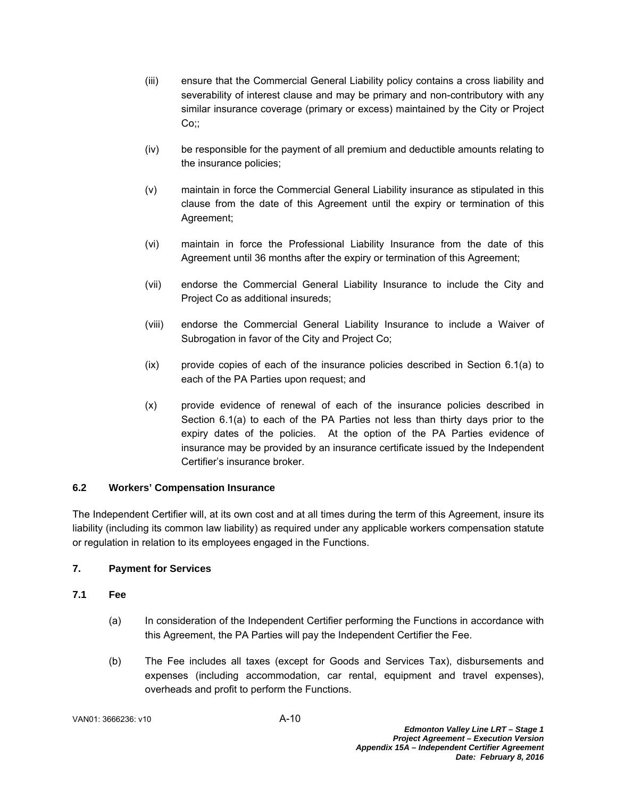- (iii) ensure that the Commercial General Liability policy contains a cross liability and severability of interest clause and may be primary and non-contributory with any similar insurance coverage (primary or excess) maintained by the City or Project Co∷
- (iv) be responsible for the payment of all premium and deductible amounts relating to the insurance policies;
- (v) maintain in force the Commercial General Liability insurance as stipulated in this clause from the date of this Agreement until the expiry or termination of this Agreement;
- (vi) maintain in force the Professional Liability Insurance from the date of this Agreement until 36 months after the expiry or termination of this Agreement;
- (vii) endorse the Commercial General Liability Insurance to include the City and Project Co as additional insureds;
- (viii) endorse the Commercial General Liability Insurance to include a Waiver of Subrogation in favor of the City and Project Co;
- (ix) provide copies of each of the insurance policies described in Section 6.1(a) to each of the PA Parties upon request; and
- (x) provide evidence of renewal of each of the insurance policies described in Section 6.1(a) to each of the PA Parties not less than thirty days prior to the expiry dates of the policies. At the option of the PA Parties evidence of insurance may be provided by an insurance certificate issued by the Independent Certifier's insurance broker.

## **6.2 Workers' Compensation Insurance**

The Independent Certifier will, at its own cost and at all times during the term of this Agreement, insure its liability (including its common law liability) as required under any applicable workers compensation statute or regulation in relation to its employees engaged in the Functions.

## **7. Payment for Services**

## **7.1 Fee**

- (a) In consideration of the Independent Certifier performing the Functions in accordance with this Agreement, the PA Parties will pay the Independent Certifier the Fee.
- (b) The Fee includes all taxes (except for Goods and Services Tax), disbursements and expenses (including accommodation, car rental, equipment and travel expenses), overheads and profit to perform the Functions.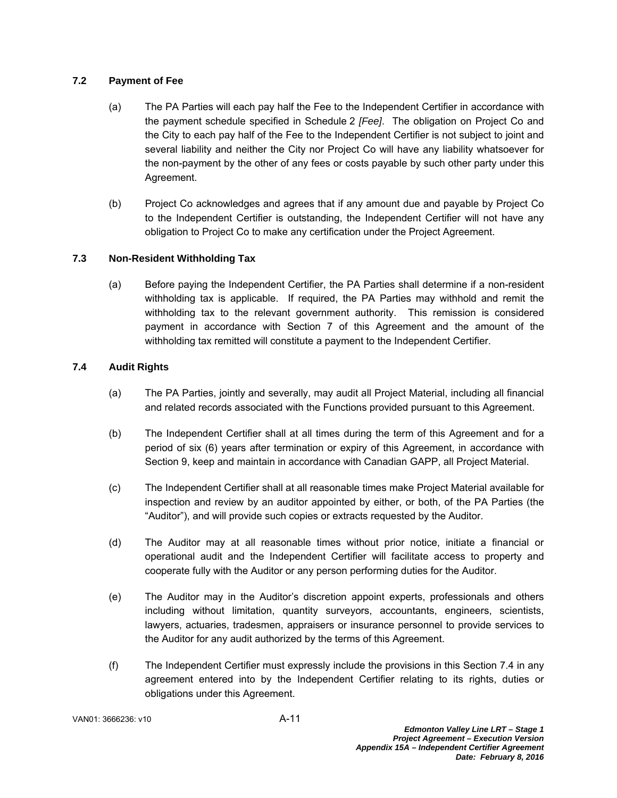# **7.2 Payment of Fee**

- (a) The PA Parties will each pay half the Fee to the Independent Certifier in accordance with the payment schedule specified in Schedule 2 *[Fee]*. The obligation on Project Co and the City to each pay half of the Fee to the Independent Certifier is not subject to joint and several liability and neither the City nor Project Co will have any liability whatsoever for the non-payment by the other of any fees or costs payable by such other party under this Agreement.
- (b) Project Co acknowledges and agrees that if any amount due and payable by Project Co to the Independent Certifier is outstanding, the Independent Certifier will not have any obligation to Project Co to make any certification under the Project Agreement.

# **7.3 Non-Resident Withholding Tax**

(a) Before paying the Independent Certifier, the PA Parties shall determine if a non-resident withholding tax is applicable. If required, the PA Parties may withhold and remit the withholding tax to the relevant government authority. This remission is considered payment in accordance with Section 7 of this Agreement and the amount of the withholding tax remitted will constitute a payment to the Independent Certifier.

# **7.4 Audit Rights**

- (a) The PA Parties, jointly and severally, may audit all Project Material, including all financial and related records associated with the Functions provided pursuant to this Agreement.
- (b) The Independent Certifier shall at all times during the term of this Agreement and for a period of six (6) years after termination or expiry of this Agreement, in accordance with Section 9, keep and maintain in accordance with Canadian GAPP, all Project Material.
- (c) The Independent Certifier shall at all reasonable times make Project Material available for inspection and review by an auditor appointed by either, or both, of the PA Parties (the "Auditor"), and will provide such copies or extracts requested by the Auditor.
- (d) The Auditor may at all reasonable times without prior notice, initiate a financial or operational audit and the Independent Certifier will facilitate access to property and cooperate fully with the Auditor or any person performing duties for the Auditor.
- (e) The Auditor may in the Auditor's discretion appoint experts, professionals and others including without limitation, quantity surveyors, accountants, engineers, scientists, lawyers, actuaries, tradesmen, appraisers or insurance personnel to provide services to the Auditor for any audit authorized by the terms of this Agreement.
- (f) The Independent Certifier must expressly include the provisions in this Section 7.4 in any agreement entered into by the Independent Certifier relating to its rights, duties or obligations under this Agreement.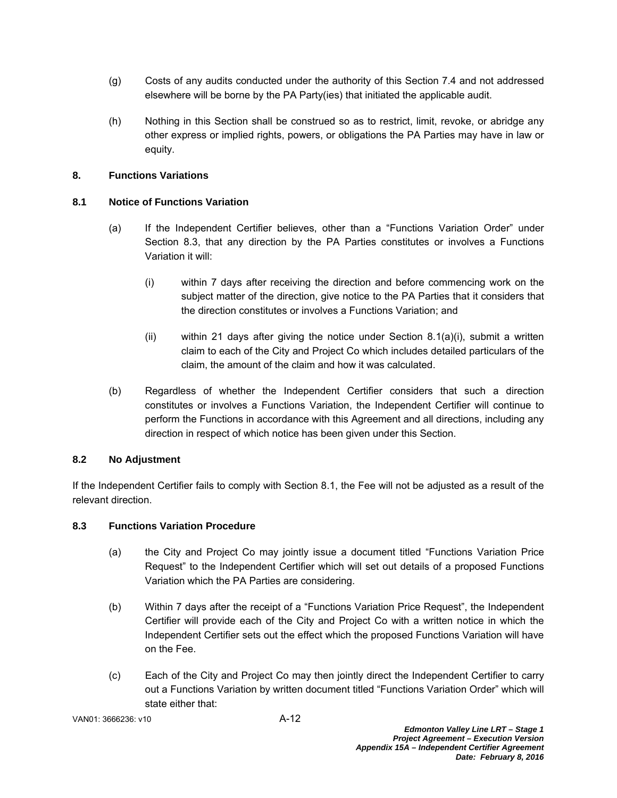- (g) Costs of any audits conducted under the authority of this Section 7.4 and not addressed elsewhere will be borne by the PA Party(ies) that initiated the applicable audit.
- (h) Nothing in this Section shall be construed so as to restrict, limit, revoke, or abridge any other express or implied rights, powers, or obligations the PA Parties may have in law or equity.

# **8. Functions Variations**

# **8.1 Notice of Functions Variation**

- (a) If the Independent Certifier believes, other than a "Functions Variation Order" under Section 8.3, that any direction by the PA Parties constitutes or involves a Functions Variation it will:
	- (i) within 7 days after receiving the direction and before commencing work on the subject matter of the direction, give notice to the PA Parties that it considers that the direction constitutes or involves a Functions Variation; and
	- $(i)$  within 21 days after giving the notice under Section 8.1(a)(i), submit a written claim to each of the City and Project Co which includes detailed particulars of the claim, the amount of the claim and how it was calculated.
- (b) Regardless of whether the Independent Certifier considers that such a direction constitutes or involves a Functions Variation, the Independent Certifier will continue to perform the Functions in accordance with this Agreement and all directions, including any direction in respect of which notice has been given under this Section.

# **8.2 No Adjustment**

If the Independent Certifier fails to comply with Section 8.1, the Fee will not be adjusted as a result of the relevant direction.

## **8.3 Functions Variation Procedure**

- (a) the City and Project Co may jointly issue a document titled "Functions Variation Price Request" to the Independent Certifier which will set out details of a proposed Functions Variation which the PA Parties are considering.
- (b) Within 7 days after the receipt of a "Functions Variation Price Request", the Independent Certifier will provide each of the City and Project Co with a written notice in which the Independent Certifier sets out the effect which the proposed Functions Variation will have on the Fee.
- (c) Each of the City and Project Co may then jointly direct the Independent Certifier to carry out a Functions Variation by written document titled "Functions Variation Order" which will state either that: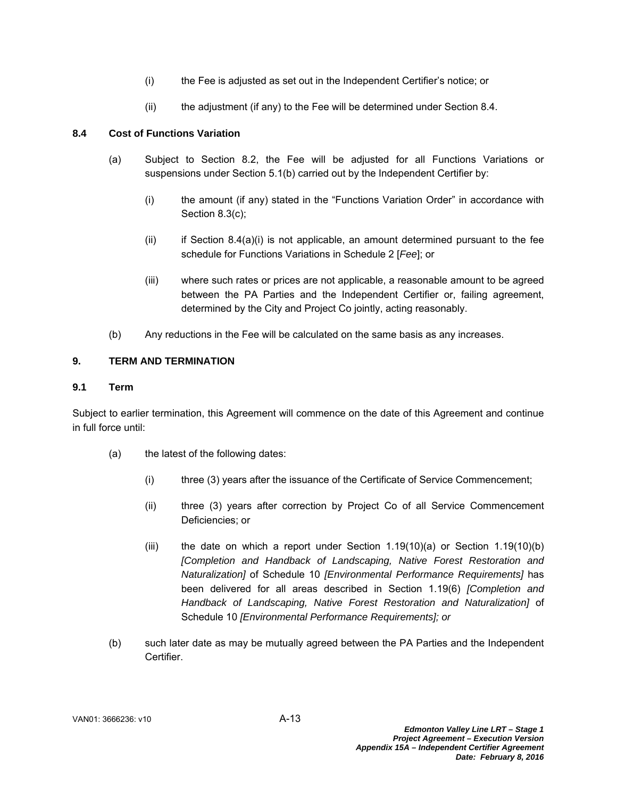- (i) the Fee is adjusted as set out in the Independent Certifier's notice; or
- $(i)$  the adjustment (if any) to the Fee will be determined under Section 8.4.

# **8.4 Cost of Functions Variation**

- (a) Subject to Section 8.2, the Fee will be adjusted for all Functions Variations or suspensions under Section 5.1(b) carried out by the Independent Certifier by:
	- (i) the amount (if any) stated in the "Functions Variation Order" in accordance with Section 8.3(c);
	- $(i)$  if Section 8.4(a) $(i)$  is not applicable, an amount determined pursuant to the fee schedule for Functions Variations in Schedule 2 [*Fee*]; or
	- (iii) where such rates or prices are not applicable, a reasonable amount to be agreed between the PA Parties and the Independent Certifier or, failing agreement, determined by the City and Project Co jointly, acting reasonably.
- (b) Any reductions in the Fee will be calculated on the same basis as any increases.

# **9. TERM AND TERMINATION**

## **9.1 Term**

Subject to earlier termination, this Agreement will commence on the date of this Agreement and continue in full force until:

- (a) the latest of the following dates:
	- (i) three (3) years after the issuance of the Certificate of Service Commencement;
	- (ii) three (3) years after correction by Project Co of all Service Commencement Deficiencies; or
	- (iii) the date on which a report under Section  $1.19(10)(a)$  or Section  $1.19(10)(b)$ *[Completion and Handback of Landscaping, Native Forest Restoration and Naturalization]* of Schedule 10 *[Environmental Performance Requirements]* has been delivered for all areas described in Section 1.19(6) *[Completion and Handback of Landscaping, Native Forest Restoration and Naturalization]* of Schedule 10 *[Environmental Performance Requirements]; or*
- (b) such later date as may be mutually agreed between the PA Parties and the Independent **Certifier**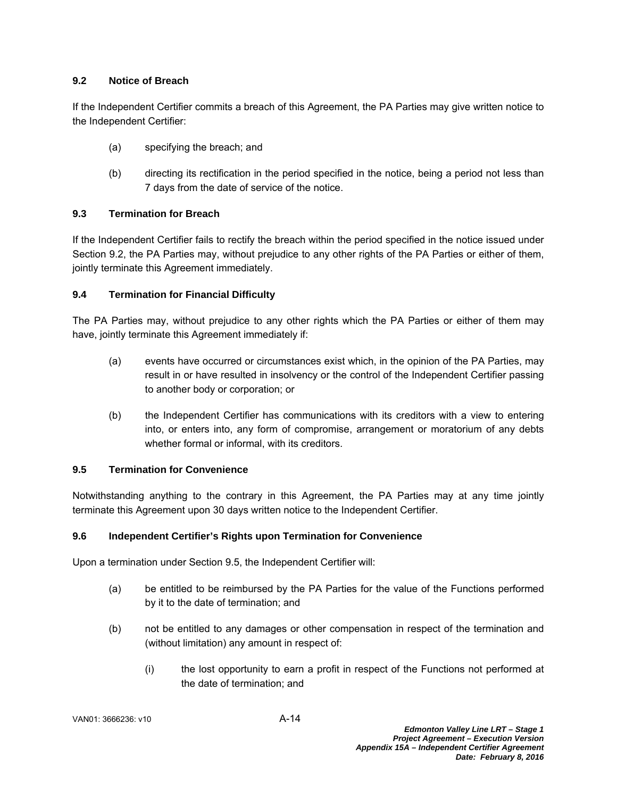# **9.2 Notice of Breach**

If the Independent Certifier commits a breach of this Agreement, the PA Parties may give written notice to the Independent Certifier:

- (a) specifying the breach; and
- (b) directing its rectification in the period specified in the notice, being a period not less than 7 days from the date of service of the notice.

# **9.3 Termination for Breach**

If the Independent Certifier fails to rectify the breach within the period specified in the notice issued under Section 9.2, the PA Parties may, without prejudice to any other rights of the PA Parties or either of them, jointly terminate this Agreement immediately.

# **9.4 Termination for Financial Difficulty**

The PA Parties may, without prejudice to any other rights which the PA Parties or either of them may have, jointly terminate this Agreement immediately if:

- (a) events have occurred or circumstances exist which, in the opinion of the PA Parties, may result in or have resulted in insolvency or the control of the Independent Certifier passing to another body or corporation; or
- (b) the Independent Certifier has communications with its creditors with a view to entering into, or enters into, any form of compromise, arrangement or moratorium of any debts whether formal or informal, with its creditors.

## **9.5 Termination for Convenience**

Notwithstanding anything to the contrary in this Agreement, the PA Parties may at any time jointly terminate this Agreement upon 30 days written notice to the Independent Certifier.

## **9.6 Independent Certifier's Rights upon Termination for Convenience**

Upon a termination under Section 9.5, the Independent Certifier will:

- (a) be entitled to be reimbursed by the PA Parties for the value of the Functions performed by it to the date of termination; and
- (b) not be entitled to any damages or other compensation in respect of the termination and (without limitation) any amount in respect of:
	- (i) the lost opportunity to earn a profit in respect of the Functions not performed at the date of termination; and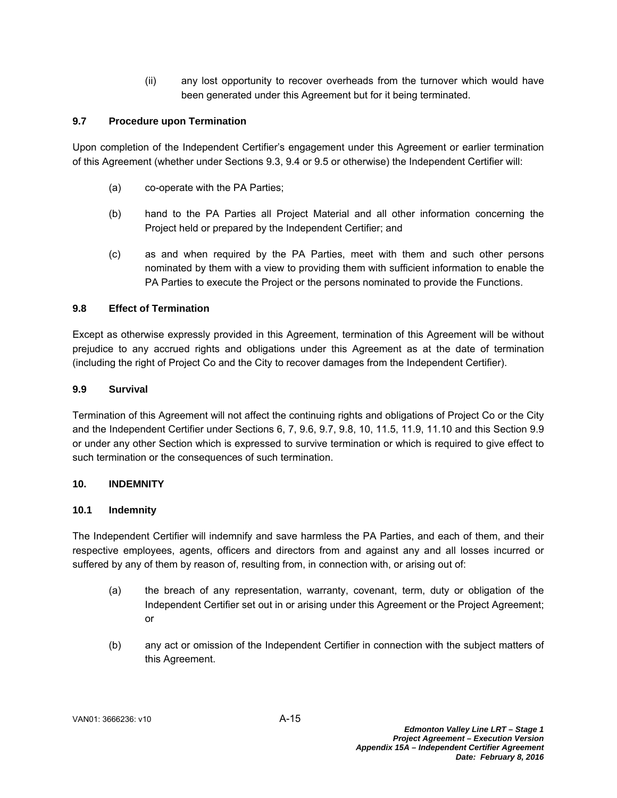(ii) any lost opportunity to recover overheads from the turnover which would have been generated under this Agreement but for it being terminated.

# **9.7 Procedure upon Termination**

Upon completion of the Independent Certifier's engagement under this Agreement or earlier termination of this Agreement (whether under Sections 9.3, 9.4 or 9.5 or otherwise) the Independent Certifier will:

- (a) co-operate with the PA Parties;
- (b) hand to the PA Parties all Project Material and all other information concerning the Project held or prepared by the Independent Certifier; and
- (c) as and when required by the PA Parties, meet with them and such other persons nominated by them with a view to providing them with sufficient information to enable the PA Parties to execute the Project or the persons nominated to provide the Functions.

# **9.8 Effect of Termination**

Except as otherwise expressly provided in this Agreement, termination of this Agreement will be without prejudice to any accrued rights and obligations under this Agreement as at the date of termination (including the right of Project Co and the City to recover damages from the Independent Certifier).

## **9.9 Survival**

Termination of this Agreement will not affect the continuing rights and obligations of Project Co or the City and the Independent Certifier under Sections 6, 7, 9.6, 9.7, 9.8, 10, 11.5, 11.9, 11.10 and this Section 9.9 or under any other Section which is expressed to survive termination or which is required to give effect to such termination or the consequences of such termination.

## **10. INDEMNITY**

## **10.1 Indemnity**

The Independent Certifier will indemnify and save harmless the PA Parties, and each of them, and their respective employees, agents, officers and directors from and against any and all losses incurred or suffered by any of them by reason of, resulting from, in connection with, or arising out of:

- (a) the breach of any representation, warranty, covenant, term, duty or obligation of the Independent Certifier set out in or arising under this Agreement or the Project Agreement; or
- (b) any act or omission of the Independent Certifier in connection with the subject matters of this Agreement.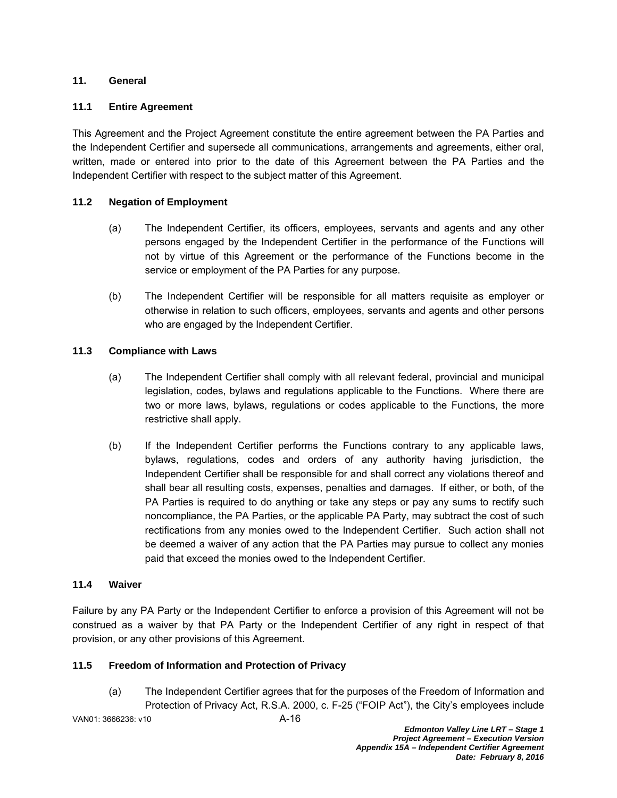## **11. General**

### **11.1 Entire Agreement**

This Agreement and the Project Agreement constitute the entire agreement between the PA Parties and the Independent Certifier and supersede all communications, arrangements and agreements, either oral, written, made or entered into prior to the date of this Agreement between the PA Parties and the Independent Certifier with respect to the subject matter of this Agreement.

### **11.2 Negation of Employment**

- (a) The Independent Certifier, its officers, employees, servants and agents and any other persons engaged by the Independent Certifier in the performance of the Functions will not by virtue of this Agreement or the performance of the Functions become in the service or employment of the PA Parties for any purpose.
- (b) The Independent Certifier will be responsible for all matters requisite as employer or otherwise in relation to such officers, employees, servants and agents and other persons who are engaged by the Independent Certifier.

### **11.3 Compliance with Laws**

- (a) The Independent Certifier shall comply with all relevant federal, provincial and municipal legislation, codes, bylaws and regulations applicable to the Functions. Where there are two or more laws, bylaws, regulations or codes applicable to the Functions, the more restrictive shall apply.
- (b) If the Independent Certifier performs the Functions contrary to any applicable laws, bylaws, regulations, codes and orders of any authority having jurisdiction, the Independent Certifier shall be responsible for and shall correct any violations thereof and shall bear all resulting costs, expenses, penalties and damages. If either, or both, of the PA Parties is required to do anything or take any steps or pay any sums to rectify such noncompliance, the PA Parties, or the applicable PA Party, may subtract the cost of such rectifications from any monies owed to the Independent Certifier. Such action shall not be deemed a waiver of any action that the PA Parties may pursue to collect any monies paid that exceed the monies owed to the Independent Certifier.

### **11.4 Waiver**

Failure by any PA Party or the Independent Certifier to enforce a provision of this Agreement will not be construed as a waiver by that PA Party or the Independent Certifier of any right in respect of that provision, or any other provisions of this Agreement.

## **11.5 Freedom of Information and Protection of Privacy**

(a) The Independent Certifier agrees that for the purposes of the Freedom of Information and Protection of Privacy Act, R.S.A. 2000, c. F-25 ("FOIP Act"), the City's employees include

VAN01: 3666236: v10 A-16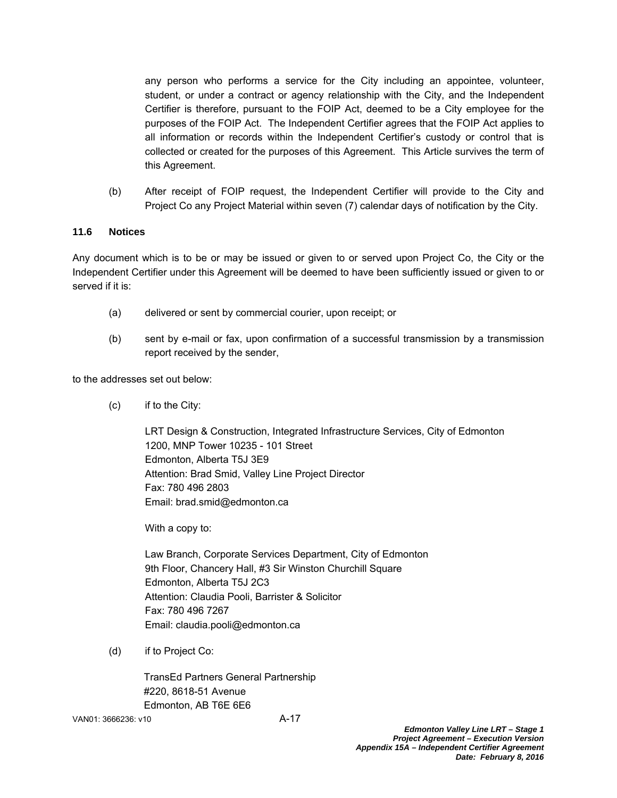any person who performs a service for the City including an appointee, volunteer, student, or under a contract or agency relationship with the City, and the Independent Certifier is therefore, pursuant to the FOIP Act, deemed to be a City employee for the purposes of the FOIP Act. The Independent Certifier agrees that the FOIP Act applies to all information or records within the Independent Certifier's custody or control that is collected or created for the purposes of this Agreement. This Article survives the term of this Agreement.

(b) After receipt of FOIP request, the Independent Certifier will provide to the City and Project Co any Project Material within seven (7) calendar days of notification by the City.

## **11.6 Notices**

Any document which is to be or may be issued or given to or served upon Project Co, the City or the Independent Certifier under this Agreement will be deemed to have been sufficiently issued or given to or served if it is:

- (a) delivered or sent by commercial courier, upon receipt; or
- (b) sent by e-mail or fax, upon confirmation of a successful transmission by a transmission report received by the sender,

to the addresses set out below:

(c) if to the City:

LRT Design & Construction, Integrated Infrastructure Services, City of Edmonton 1200, MNP Tower 10235 - 101 Street Edmonton, Alberta T5J 3E9 Attention: Brad Smid, Valley Line Project Director Fax: 780 496 2803 Email: brad.smid@edmonton.ca

With a copy to:

Law Branch, Corporate Services Department, City of Edmonton 9th Floor, Chancery Hall, #3 Sir Winston Churchill Square Edmonton, Alberta T5J 2C3 Attention: Claudia Pooli, Barrister & Solicitor Fax: 780 496 7267 Email: claudia.pooli@edmonton.ca

(d) if to Project Co:

TransEd Partners General Partnership #220, 8618-51 Avenue Edmonton, AB T6E 6E6

VAN01: 3666236: v10 A-17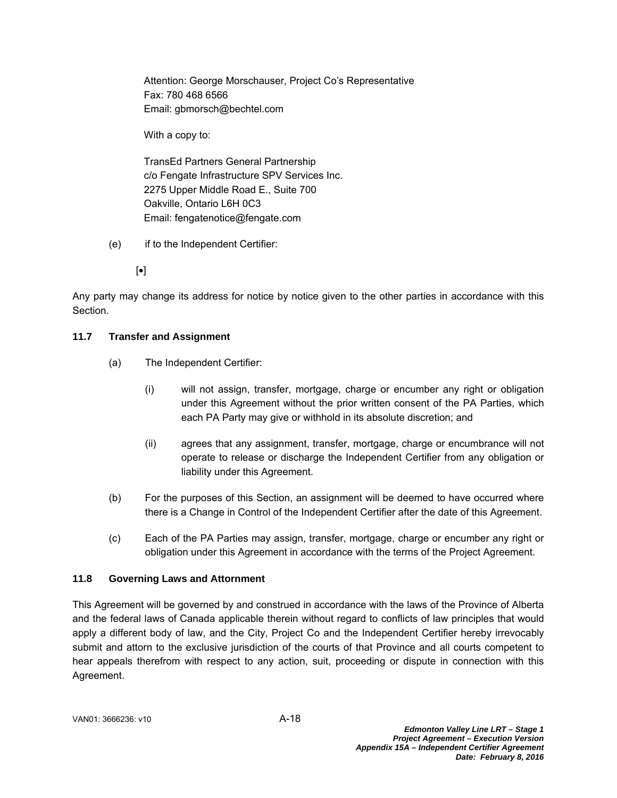Attention: George Morschauser, Project Co's Representative Fax: 780 468 6566 Email: gbmorsch@bechtel.com

With a copy to:

TransEd Partners General Partnership c/o Fengate Infrastructure SPV Services Inc. 2275 Upper Middle Road E., Suite 700 Oakville, Ontario L6H 0C3 Email: fengatenotice@fengate.com

- (e) if to the Independent Certifier:
	- $\lceil \bullet \rceil$

Any party may change its address for notice by notice given to the other parties in accordance with this Section.

# **11.7 Transfer and Assignment**

- (a) The Independent Certifier:
	- (i) will not assign, transfer, mortgage, charge or encumber any right or obligation under this Agreement without the prior written consent of the PA Parties, which each PA Party may give or withhold in its absolute discretion; and
	- (ii) agrees that any assignment, transfer, mortgage, charge or encumbrance will not operate to release or discharge the Independent Certifier from any obligation or liability under this Agreement.
- (b) For the purposes of this Section, an assignment will be deemed to have occurred where there is a Change in Control of the Independent Certifier after the date of this Agreement.
- (c) Each of the PA Parties may assign, transfer, mortgage, charge or encumber any right or obligation under this Agreement in accordance with the terms of the Project Agreement.

## **11.8 Governing Laws and Attornment**

This Agreement will be governed by and construed in accordance with the laws of the Province of Alberta and the federal laws of Canada applicable therein without regard to conflicts of law principles that would apply a different body of law, and the City, Project Co and the Independent Certifier hereby irrevocably submit and attorn to the exclusive jurisdiction of the courts of that Province and all courts competent to hear appeals therefrom with respect to any action, suit, proceeding or dispute in connection with this Agreement.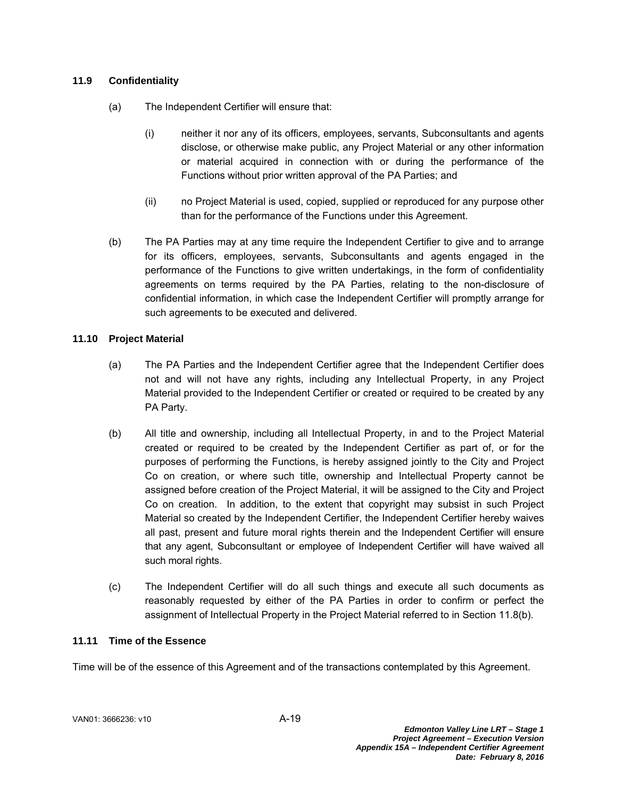# **11.9 Confidentiality**

- (a) The Independent Certifier will ensure that:
	- (i) neither it nor any of its officers, employees, servants, Subconsultants and agents disclose, or otherwise make public, any Project Material or any other information or material acquired in connection with or during the performance of the Functions without prior written approval of the PA Parties; and
	- (ii) no Project Material is used, copied, supplied or reproduced for any purpose other than for the performance of the Functions under this Agreement.
- (b) The PA Parties may at any time require the Independent Certifier to give and to arrange for its officers, employees, servants, Subconsultants and agents engaged in the performance of the Functions to give written undertakings, in the form of confidentiality agreements on terms required by the PA Parties, relating to the non-disclosure of confidential information, in which case the Independent Certifier will promptly arrange for such agreements to be executed and delivered.

## **11.10 Project Material**

- (a) The PA Parties and the Independent Certifier agree that the Independent Certifier does not and will not have any rights, including any Intellectual Property, in any Project Material provided to the Independent Certifier or created or required to be created by any PA Party.
- (b) All title and ownership, including all Intellectual Property, in and to the Project Material created or required to be created by the Independent Certifier as part of, or for the purposes of performing the Functions, is hereby assigned jointly to the City and Project Co on creation, or where such title, ownership and Intellectual Property cannot be assigned before creation of the Project Material, it will be assigned to the City and Project Co on creation. In addition, to the extent that copyright may subsist in such Project Material so created by the Independent Certifier, the Independent Certifier hereby waives all past, present and future moral rights therein and the Independent Certifier will ensure that any agent, Subconsultant or employee of Independent Certifier will have waived all such moral rights.
- (c) The Independent Certifier will do all such things and execute all such documents as reasonably requested by either of the PA Parties in order to confirm or perfect the assignment of Intellectual Property in the Project Material referred to in Section 11.8(b).

## **11.11 Time of the Essence**

Time will be of the essence of this Agreement and of the transactions contemplated by this Agreement.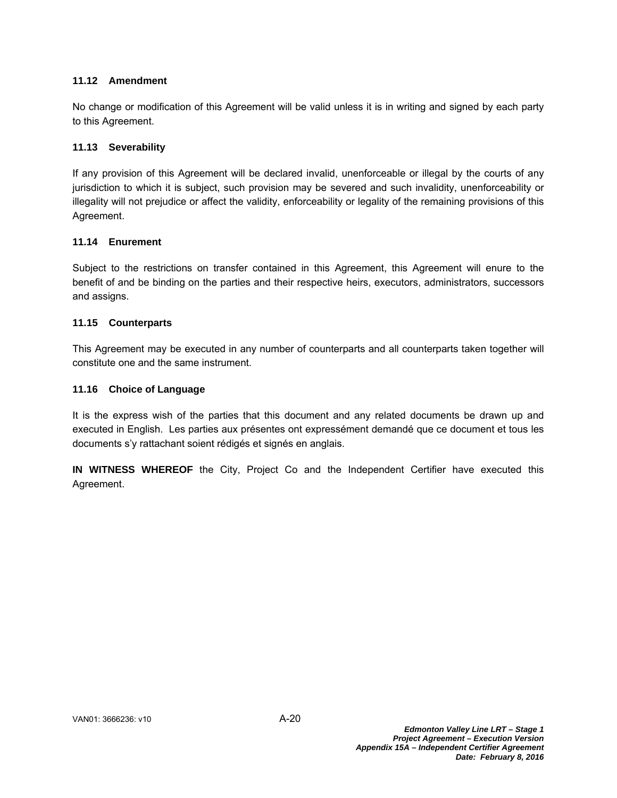### **11.12 Amendment**

No change or modification of this Agreement will be valid unless it is in writing and signed by each party to this Agreement.

### **11.13 Severability**

If any provision of this Agreement will be declared invalid, unenforceable or illegal by the courts of any jurisdiction to which it is subject, such provision may be severed and such invalidity, unenforceability or illegality will not prejudice or affect the validity, enforceability or legality of the remaining provisions of this Agreement.

### **11.14 Enurement**

Subject to the restrictions on transfer contained in this Agreement, this Agreement will enure to the benefit of and be binding on the parties and their respective heirs, executors, administrators, successors and assigns.

### **11.15 Counterparts**

This Agreement may be executed in any number of counterparts and all counterparts taken together will constitute one and the same instrument.

### **11.16 Choice of Language**

It is the express wish of the parties that this document and any related documents be drawn up and executed in English. Les parties aux présentes ont expressément demandé que ce document et tous les documents s'y rattachant soient rédigés et signés en anglais.

**IN WITNESS WHEREOF** the City, Project Co and the Independent Certifier have executed this Agreement.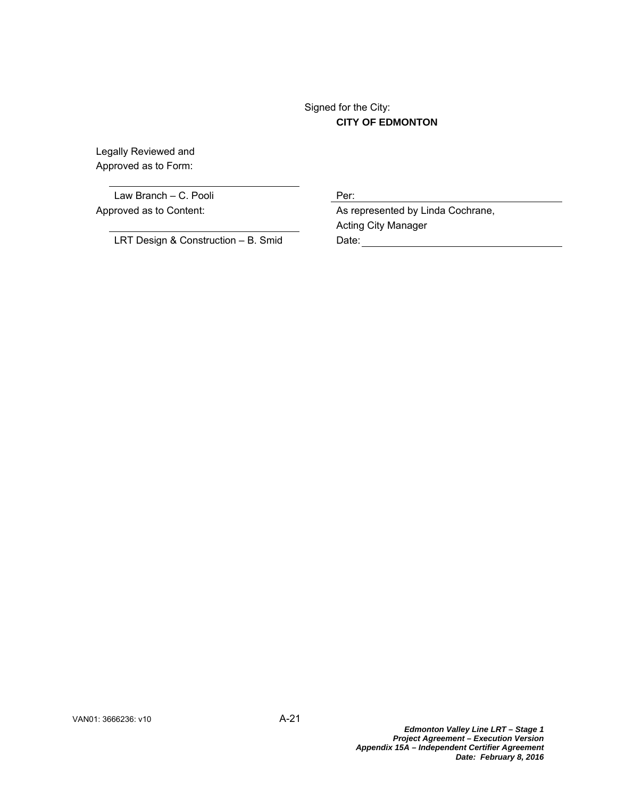# Signed for the City: **CITY OF EDMONTON**

Legally Reviewed and Approved as to Form:

Law Branch – C. Pooli Per:

LRT Design & Construction – B. Smid Date:

Approved as to Content: As represented by Linda Cochrane, Acting City Manager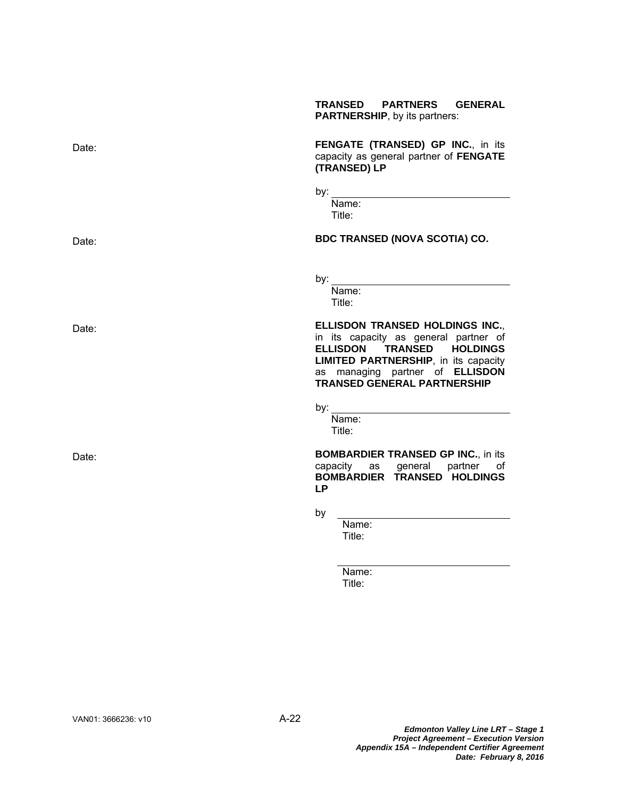|       | <b>TRANSED</b><br><b>PARTNERS</b><br><b>GENERAL</b><br><b>PARTNERSHIP, by its partners:</b>                                                                                                                                          |
|-------|--------------------------------------------------------------------------------------------------------------------------------------------------------------------------------------------------------------------------------------|
| Date: | FENGATE (TRANSED) GP INC., in its<br>capacity as general partner of FENGATE<br>(TRANSED) LP                                                                                                                                          |
|       |                                                                                                                                                                                                                                      |
|       | Name:<br>Title:                                                                                                                                                                                                                      |
| Date: | <b>BDC TRANSED (NOVA SCOTIA) CO.</b>                                                                                                                                                                                                 |
|       | by: the contract of the contract of the contract of the contract of the contract of the contract of the contract of the contract of the contract of the contract of the contract of the contract of the contract of the contra       |
|       | Name:<br>Title:                                                                                                                                                                                                                      |
| Date: | ELLISDON TRANSED HOLDINGS INC.,<br>in its capacity as general partner of<br>ELLISDON TRANSED HOLDINGS<br><b>LIMITED PARTNERSHIP, in its capacity</b><br>as managing partner of <b>ELLISDON</b><br><b>TRANSED GENERAL PARTNERSHIP</b> |
|       |                                                                                                                                                                                                                                      |
|       | Name:<br>Title:                                                                                                                                                                                                                      |
| Date: | <b>BOMBARDIER TRANSED GP INC., in its</b><br>capacity as general partner<br>of<br>BOMBARDIER TRANSED HOLDINGS<br><b>LP</b>                                                                                                           |
|       | by                                                                                                                                                                                                                                   |
|       | Name:<br>Title:                                                                                                                                                                                                                      |
|       | Name:<br>Title:                                                                                                                                                                                                                      |
|       |                                                                                                                                                                                                                                      |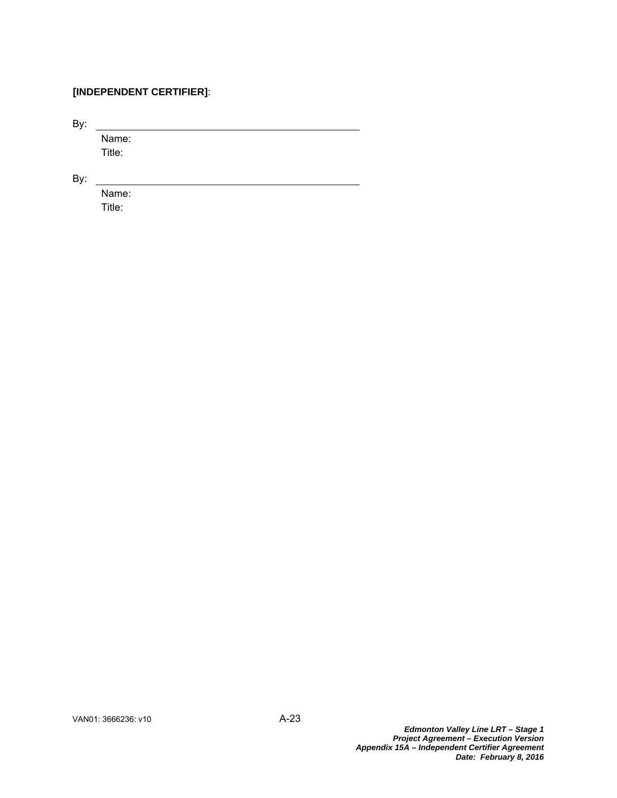# **[INDEPENDENT CERTIFIER]**:

By:

 Name: Title:

By:

 Name: Title: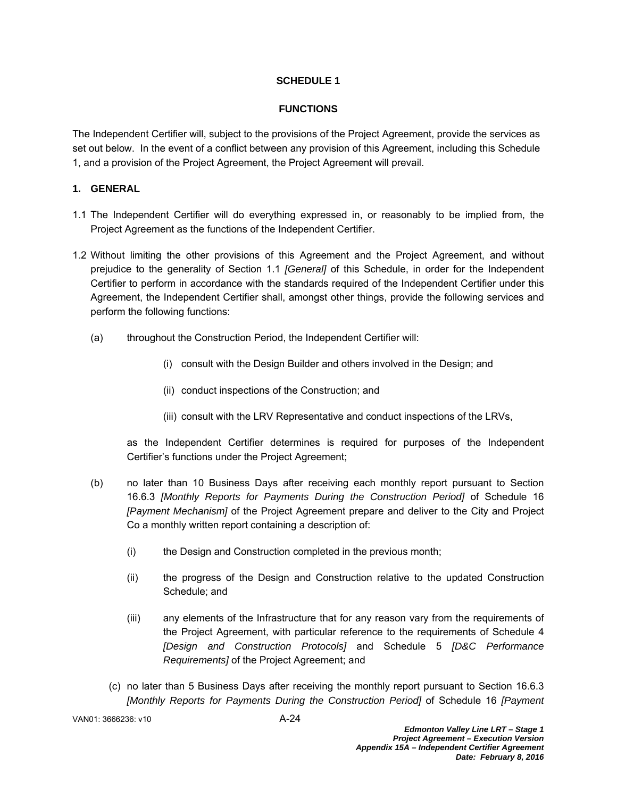# **SCHEDULE 1**

# **FUNCTIONS**

The Independent Certifier will, subject to the provisions of the Project Agreement, provide the services as set out below. In the event of a conflict between any provision of this Agreement, including this Schedule 1, and a provision of the Project Agreement, the Project Agreement will prevail.

# **1. GENERAL**

- 1.1 The Independent Certifier will do everything expressed in, or reasonably to be implied from, the Project Agreement as the functions of the Independent Certifier.
- 1.2 Without limiting the other provisions of this Agreement and the Project Agreement, and without prejudice to the generality of Section 1.1 *[General]* of this Schedule, in order for the Independent Certifier to perform in accordance with the standards required of the Independent Certifier under this Agreement, the Independent Certifier shall, amongst other things, provide the following services and perform the following functions:
	- (a) throughout the Construction Period, the Independent Certifier will:
		- (i) consult with the Design Builder and others involved in the Design; and
		- (ii) conduct inspections of the Construction; and
		- (iii) consult with the LRV Representative and conduct inspections of the LRVs,

as the Independent Certifier determines is required for purposes of the Independent Certifier's functions under the Project Agreement;

- (b) no later than 10 Business Days after receiving each monthly report pursuant to Section 16.6.3 *[Monthly Reports for Payments During the Construction Period]* of Schedule 16 *[Payment Mechanism]* of the Project Agreement prepare and deliver to the City and Project Co a monthly written report containing a description of:
	- (i) the Design and Construction completed in the previous month;
	- (ii) the progress of the Design and Construction relative to the updated Construction Schedule; and
	- (iii) any elements of the Infrastructure that for any reason vary from the requirements of the Project Agreement, with particular reference to the requirements of Schedule 4 *[Design and Construction Protocols]* and Schedule 5 *[D&C Performance Requirements]* of the Project Agreement; and
	- (c) no later than 5 Business Days after receiving the monthly report pursuant to Section 16.6.3 *[Monthly Reports for Payments During the Construction Period]* of Schedule 16 *[Payment*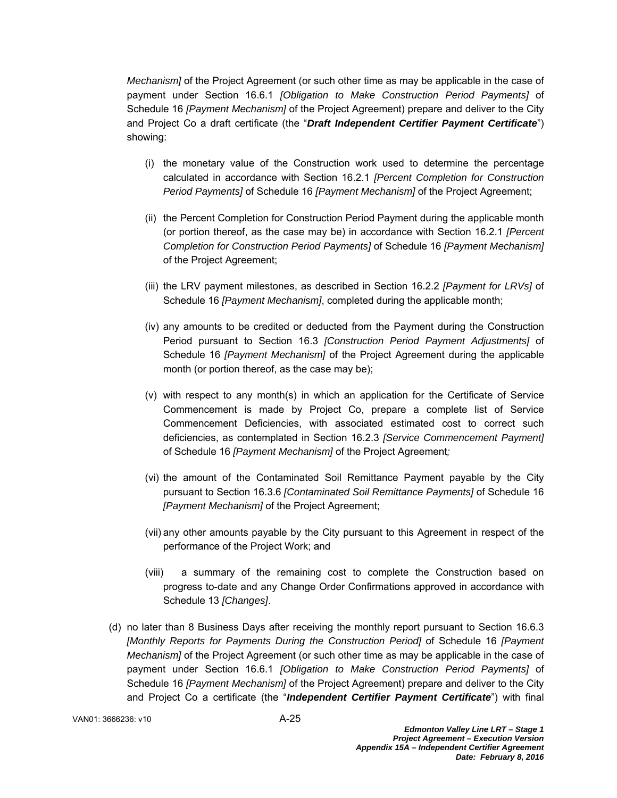*Mechanism]* of the Project Agreement (or such other time as may be applicable in the case of payment under Section 16.6.1 *[Obligation to Make Construction Period Payments]* of Schedule 16 *[Payment Mechanism]* of the Project Agreement) prepare and deliver to the City and Project Co a draft certificate (the "*Draft Independent Certifier Payment Certificate*") showing:

- (i) the monetary value of the Construction work used to determine the percentage calculated in accordance with Section 16.2.1 *[Percent Completion for Construction Period Payments]* of Schedule 16 *[Payment Mechanism]* of the Project Agreement;
- (ii) the Percent Completion for Construction Period Payment during the applicable month (or portion thereof, as the case may be) in accordance with Section 16.2.1 *[Percent Completion for Construction Period Payments]* of Schedule 16 *[Payment Mechanism]* of the Project Agreement;
- (iii) the LRV payment milestones, as described in Section 16.2.2 *[Payment for LRVs]* of Schedule 16 *[Payment Mechanism]*, completed during the applicable month;
- (iv) any amounts to be credited or deducted from the Payment during the Construction Period pursuant to Section 16.3 *[Construction Period Payment Adjustments]* of Schedule 16 *[Payment Mechanism]* of the Project Agreement during the applicable month (or portion thereof, as the case may be);
- (v) with respect to any month(s) in which an application for the Certificate of Service Commencement is made by Project Co, prepare a complete list of Service Commencement Deficiencies, with associated estimated cost to correct such deficiencies, as contemplated in Section 16.2.3 *[Service Commencement Payment]* of Schedule 16 *[Payment Mechanism]* of the Project Agreement*;*
- (vi) the amount of the Contaminated Soil Remittance Payment payable by the City pursuant to Section 16.3.6 *[Contaminated Soil Remittance Payments]* of Schedule 16 *[Payment Mechanism]* of the Project Agreement;
- (vii) any other amounts payable by the City pursuant to this Agreement in respect of the performance of the Project Work; and
- (viii) a summary of the remaining cost to complete the Construction based on progress to-date and any Change Order Confirmations approved in accordance with Schedule 13 *[Changes]*.
- (d) no later than 8 Business Days after receiving the monthly report pursuant to Section 16.6.3 *[Monthly Reports for Payments During the Construction Period]* of Schedule 16 *[Payment Mechanism]* of the Project Agreement (or such other time as may be applicable in the case of payment under Section 16.6.1 *[Obligation to Make Construction Period Payments]* of Schedule 16 *[Payment Mechanism]* of the Project Agreement) prepare and deliver to the City and Project Co a certificate (the "*Independent Certifier Payment Certificate*") with final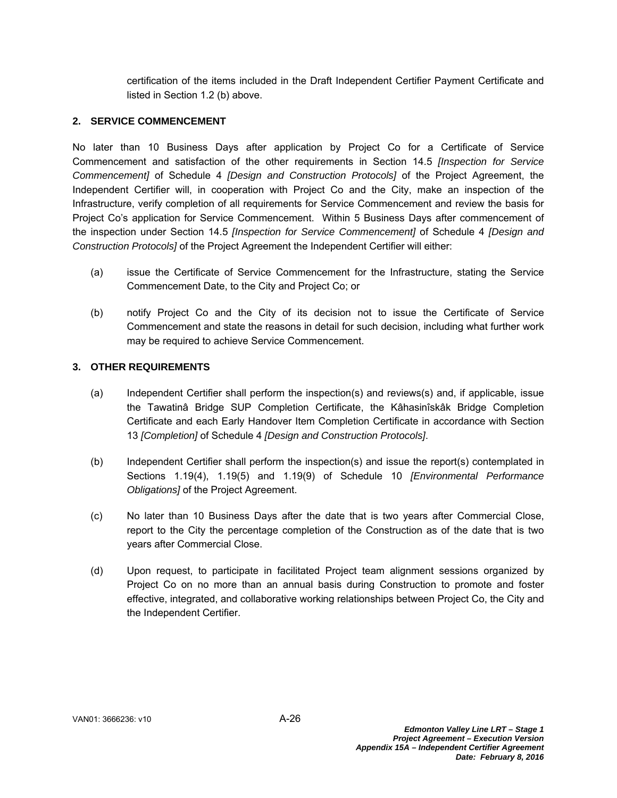certification of the items included in the Draft Independent Certifier Payment Certificate and listed in Section 1.2 (b) above.

## **2. SERVICE COMMENCEMENT**

No later than 10 Business Days after application by Project Co for a Certificate of Service Commencement and satisfaction of the other requirements in Section 14.5 *[Inspection for Service Commencement]* of Schedule 4 *[Design and Construction Protocols]* of the Project Agreement, the Independent Certifier will, in cooperation with Project Co and the City, make an inspection of the Infrastructure, verify completion of all requirements for Service Commencement and review the basis for Project Co's application for Service Commencement. Within 5 Business Days after commencement of the inspection under Section 14.5 *[Inspection for Service Commencement]* of Schedule 4 *[Design and Construction Protocols]* of the Project Agreement the Independent Certifier will either:

- (a) issue the Certificate of Service Commencement for the Infrastructure, stating the Service Commencement Date, to the City and Project Co; or
- (b) notify Project Co and the City of its decision not to issue the Certificate of Service Commencement and state the reasons in detail for such decision, including what further work may be required to achieve Service Commencement.

# **3. OTHER REQUIREMENTS**

- (a) Independent Certifier shall perform the inspection(s) and reviews(s) and, if applicable, issue the Tawatinâ Bridge SUP Completion Certificate, the Kâhasinîskâk Bridge Completion Certificate and each Early Handover Item Completion Certificate in accordance with Section 13 *[Completion]* of Schedule 4 *[Design and Construction Protocols]*.
- (b) Independent Certifier shall perform the inspection(s) and issue the report(s) contemplated in Sections 1.19(4), 1.19(5) and 1.19(9) of Schedule 10 *[Environmental Performance Obligations]* of the Project Agreement.
- (c) No later than 10 Business Days after the date that is two years after Commercial Close, report to the City the percentage completion of the Construction as of the date that is two years after Commercial Close.
- (d) Upon request, to participate in facilitated Project team alignment sessions organized by Project Co on no more than an annual basis during Construction to promote and foster effective, integrated, and collaborative working relationships between Project Co, the City and the Independent Certifier.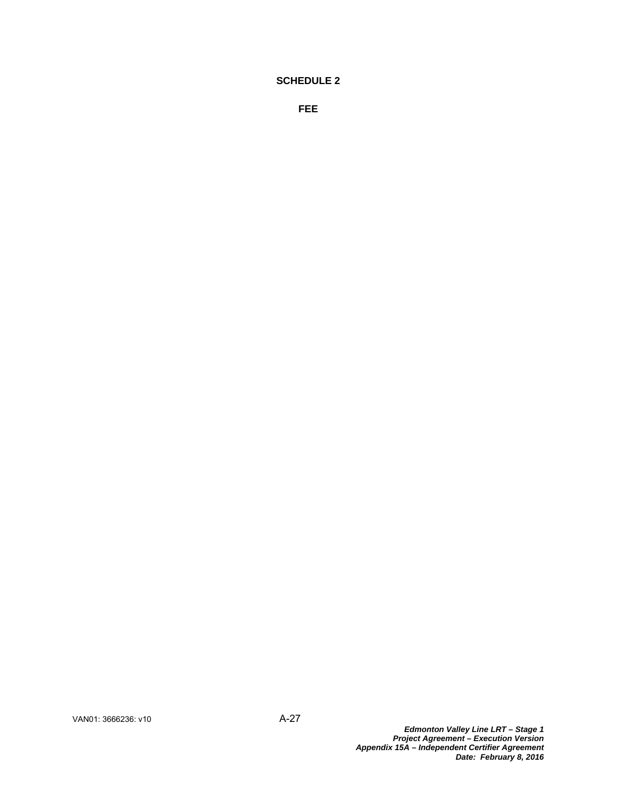# **SCHEDULE 2**

**FEE**